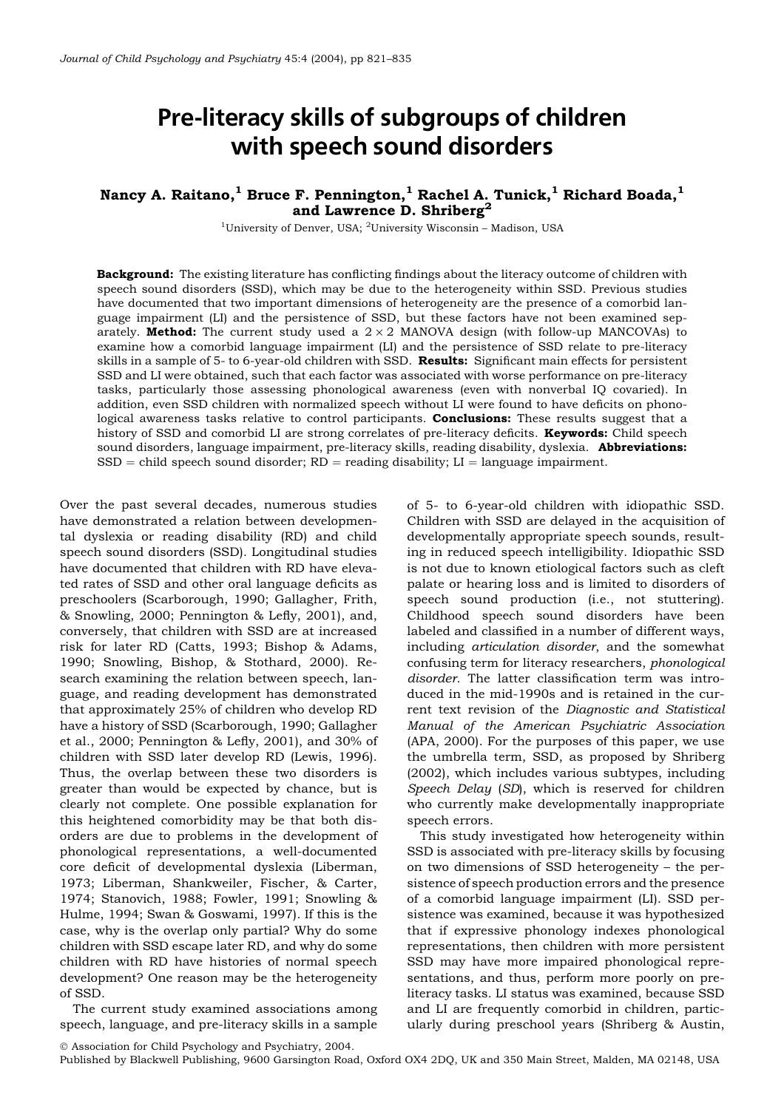# Pre-literacy skills of subgroups of children with speech sound disorders

# Nancy A. Raitano,<sup>1</sup> Bruce F. Pennington,<sup>1</sup> Rachel A. Tunick,<sup>1</sup> Richard Boada,<sup>1</sup> and Lawrence D. Shriberg<sup>2</sup>

<sup>1</sup>University of Denver, USA; <sup>2</sup>University Wisconsin - Madison, USA

Background: The existing literature has conflicting findings about the literacy outcome of children with speech sound disorders (SSD), which may be due to the heterogeneity within SSD. Previous studies have documented that two important dimensions of heterogeneity are the presence of a comorbid language impairment (LI) and the persistence of SSD, but these factors have not been examined separately. Method: The current study used a  $2 \times 2$  MANOVA design (with follow-up MANCOVAs) to examine how a comorbid language impairment (LI) and the persistence of SSD relate to pre-literacy skills in a sample of 5- to 6-year-old children with SSD. Results: Significant main effects for persistent SSD and LI were obtained, such that each factor was associated with worse performance on pre-literacy tasks, particularly those assessing phonological awareness (even with nonverbal IQ covaried). In addition, even SSD children with normalized speech without LI were found to have deficits on phonological awareness tasks relative to control participants. Conclusions: These results suggest that a history of SSD and comorbid LI are strong correlates of pre-literacy deficits. Keywords: Child speech sound disorders, language impairment, pre-literacy skills, reading disability, dyslexia. **Abbreviations:**  $SSD = child speech sound disorder; RD = reading disability; LI = language impairment.$ 

Over the past several decades, numerous studies have demonstrated a relation between developmental dyslexia or reading disability (RD) and child speech sound disorders (SSD). Longitudinal studies have documented that children with RD have elevated rates of SSD and other oral language deficits as preschoolers (Scarborough, 1990; Gallagher, Frith, & Snowling, 2000; Pennington & Lefly, 2001), and, conversely, that children with SSD are at increased risk for later RD (Catts, 1993; Bishop & Adams, 1990; Snowling, Bishop, & Stothard, 2000). Research examining the relation between speech, language, and reading development has demonstrated that approximately 25% of children who develop RD have a history of SSD (Scarborough, 1990; Gallagher et al., 2000; Pennington & Lefly, 2001), and 30% of children with SSD later develop RD (Lewis, 1996). Thus, the overlap between these two disorders is greater than would be expected by chance, but is clearly not complete. One possible explanation for this heightened comorbidity may be that both disorders are due to problems in the development of phonological representations, a well-documented core deficit of developmental dyslexia (Liberman, 1973; Liberman, Shankweiler, Fischer, & Carter, 1974; Stanovich, 1988; Fowler, 1991; Snowling & Hulme, 1994; Swan & Goswami, 1997). If this is the case, why is the overlap only partial? Why do some children with SSD escape later RD, and why do some children with RD have histories of normal speech development? One reason may be the heterogeneity of SSD.

The current study examined associations among speech, language, and pre-literacy skills in a sample

of 5- to 6-year-old children with idiopathic SSD. Children with SSD are delayed in the acquisition of developmentally appropriate speech sounds, resulting in reduced speech intelligibility. Idiopathic SSD is not due to known etiological factors such as cleft palate or hearing loss and is limited to disorders of speech sound production (i.e., not stuttering). Childhood speech sound disorders have been labeled and classified in a number of different ways, including articulation disorder, and the somewhat confusing term for literacy researchers, phonological disorder. The latter classification term was introduced in the mid-1990s and is retained in the current text revision of the Diagnostic and Statistical Manual of the American Psychiatric Association (APA, 2000). For the purposes of this paper, we use the umbrella term, SSD, as proposed by Shriberg (2002), which includes various subtypes, including Speech Delay (SD), which is reserved for children who currently make developmentally inappropriate speech errors.

This study investigated how heterogeneity within SSD is associated with pre-literacy skills by focusing on two dimensions of SSD heterogeneity – the persistence of speech production errors and the presence of a comorbid language impairment (LI). SSD persistence was examined, because it was hypothesized that if expressive phonology indexes phonological representations, then children with more persistent SSD may have more impaired phonological representations, and thus, perform more poorly on preliteracy tasks. LI status was examined, because SSD and LI are frequently comorbid in children, particularly during preschool years (Shriberg & Austin,

- Association for Child Psychology and Psychiatry, 2004.

Published by Blackwell Publishing, 9600 Garsington Road, Oxford OX4 2DQ, UK and 350 Main Street, Malden, MA 02148, USA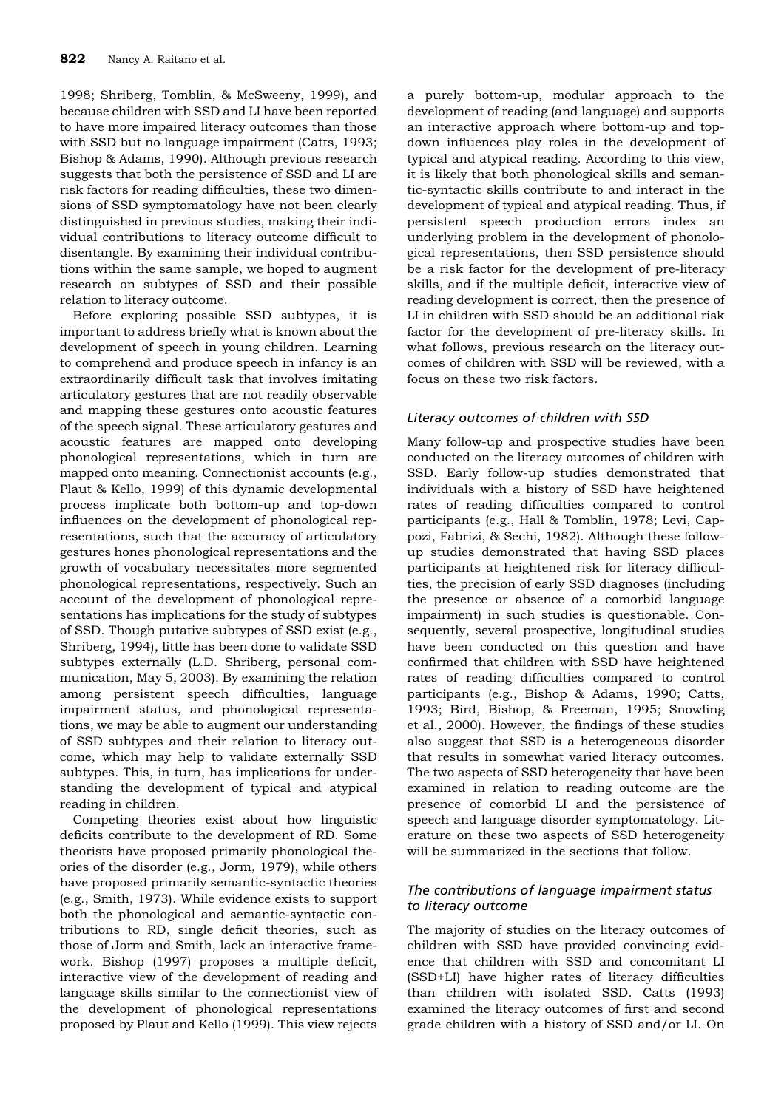1998; Shriberg, Tomblin, & McSweeny, 1999), and because children with SSD and LI have been reported to have more impaired literacy outcomes than those with SSD but no language impairment (Catts, 1993; Bishop & Adams, 1990). Although previous research suggests that both the persistence of SSD and LI are risk factors for reading difficulties, these two dimensions of SSD symptomatology have not been clearly distinguished in previous studies, making their individual contributions to literacy outcome difficult to disentangle. By examining their individual contributions within the same sample, we hoped to augment research on subtypes of SSD and their possible relation to literacy outcome.

Before exploring possible SSD subtypes, it is important to address briefly what is known about the development of speech in young children. Learning to comprehend and produce speech in infancy is an extraordinarily difficult task that involves imitating articulatory gestures that are not readily observable and mapping these gestures onto acoustic features of the speech signal. These articulatory gestures and acoustic features are mapped onto developing phonological representations, which in turn are mapped onto meaning. Connectionist accounts (e.g., Plaut & Kello, 1999) of this dynamic developmental process implicate both bottom-up and top-down influences on the development of phonological representations, such that the accuracy of articulatory gestures hones phonological representations and the growth of vocabulary necessitates more segmented phonological representations, respectively. Such an account of the development of phonological representations has implications for the study of subtypes of SSD. Though putative subtypes of SSD exist (e.g., Shriberg, 1994), little has been done to validate SSD subtypes externally (L.D. Shriberg, personal communication, May 5, 2003). By examining the relation among persistent speech difficulties, language impairment status, and phonological representations, we may be able to augment our understanding of SSD subtypes and their relation to literacy outcome, which may help to validate externally SSD subtypes. This, in turn, has implications for understanding the development of typical and atypical reading in children.

Competing theories exist about how linguistic deficits contribute to the development of RD. Some theorists have proposed primarily phonological theories of the disorder (e.g., Jorm, 1979), while others have proposed primarily semantic-syntactic theories (e.g., Smith, 1973). While evidence exists to support both the phonological and semantic-syntactic contributions to RD, single deficit theories, such as those of Jorm and Smith, lack an interactive framework. Bishop (1997) proposes a multiple deficit, interactive view of the development of reading and language skills similar to the connectionist view of the development of phonological representations proposed by Plaut and Kello (1999). This view rejects a purely bottom-up, modular approach to the development of reading (and language) and supports an interactive approach where bottom-up and topdown influences play roles in the development of typical and atypical reading. According to this view, it is likely that both phonological skills and semantic-syntactic skills contribute to and interact in the development of typical and atypical reading. Thus, if persistent speech production errors index an underlying problem in the development of phonological representations, then SSD persistence should be a risk factor for the development of pre-literacy skills, and if the multiple deficit, interactive view of reading development is correct, then the presence of LI in children with SSD should be an additional risk factor for the development of pre-literacy skills. In what follows, previous research on the literacy outcomes of children with SSD will be reviewed, with a focus on these two risk factors.

# Literacy outcomes of children with SSD

Many follow-up and prospective studies have been conducted on the literacy outcomes of children with SSD. Early follow-up studies demonstrated that individuals with a history of SSD have heightened rates of reading difficulties compared to control participants (e.g., Hall & Tomblin, 1978; Levi, Cappozi, Fabrizi, & Sechi, 1982). Although these followup studies demonstrated that having SSD places participants at heightened risk for literacy difficulties, the precision of early SSD diagnoses (including the presence or absence of a comorbid language impairment) in such studies is questionable. Consequently, several prospective, longitudinal studies have been conducted on this question and have confirmed that children with SSD have heightened rates of reading difficulties compared to control participants (e.g., Bishop & Adams, 1990; Catts, 1993; Bird, Bishop, & Freeman, 1995; Snowling et al., 2000). However, the findings of these studies also suggest that SSD is a heterogeneous disorder that results in somewhat varied literacy outcomes. The two aspects of SSD heterogeneity that have been examined in relation to reading outcome are the presence of comorbid LI and the persistence of speech and language disorder symptomatology. Literature on these two aspects of SSD heterogeneity will be summarized in the sections that follow.

## The contributions of language impairment status to literacy outcome

The majority of studies on the literacy outcomes of children with SSD have provided convincing evidence that children with SSD and concomitant LI (SSD+LI) have higher rates of literacy difficulties than children with isolated SSD. Catts (1993) examined the literacy outcomes of first and second grade children with a history of SSD and/or LI. On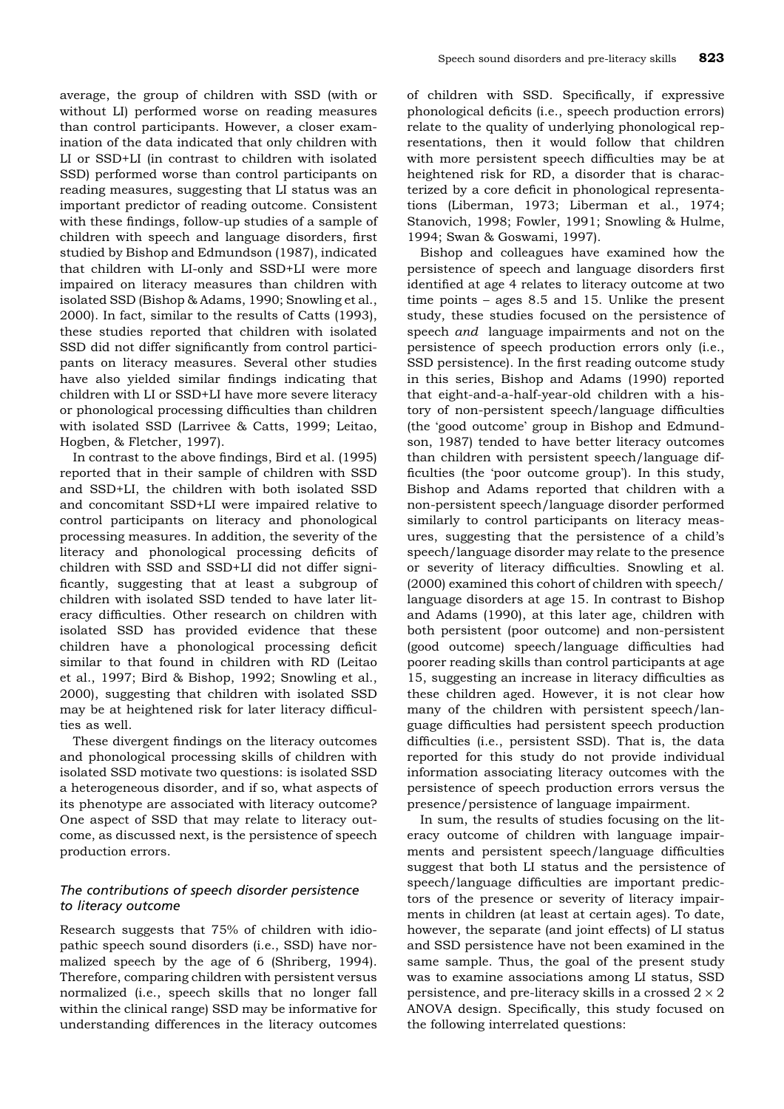average, the group of children with SSD (with or without LI) performed worse on reading measures than control participants. However, a closer examination of the data indicated that only children with LI or SSD+LI (in contrast to children with isolated SSD) performed worse than control participants on reading measures, suggesting that LI status was an important predictor of reading outcome. Consistent with these findings, follow-up studies of a sample of children with speech and language disorders, first studied by Bishop and Edmundson (1987), indicated that children with LI-only and SSD+LI were more impaired on literacy measures than children with isolated SSD (Bishop & Adams, 1990; Snowling et al., 2000). In fact, similar to the results of Catts (1993), these studies reported that children with isolated SSD did not differ significantly from control participants on literacy measures. Several other studies have also yielded similar findings indicating that children with LI or SSD+LI have more severe literacy or phonological processing difficulties than children with isolated SSD (Larrivee & Catts, 1999; Leitao, Hogben, & Fletcher, 1997).

In contrast to the above findings, Bird et al. (1995) reported that in their sample of children with SSD and SSD+LI, the children with both isolated SSD and concomitant SSD+LI were impaired relative to control participants on literacy and phonological processing measures. In addition, the severity of the literacy and phonological processing deficits of children with SSD and SSD+LI did not differ significantly, suggesting that at least a subgroup of children with isolated SSD tended to have later literacy difficulties. Other research on children with isolated SSD has provided evidence that these children have a phonological processing deficit similar to that found in children with RD (Leitao et al., 1997; Bird & Bishop, 1992; Snowling et al., 2000), suggesting that children with isolated SSD may be at heightened risk for later literacy difficulties as well.

These divergent findings on the literacy outcomes and phonological processing skills of children with isolated SSD motivate two questions: is isolated SSD a heterogeneous disorder, and if so, what aspects of its phenotype are associated with literacy outcome? One aspect of SSD that may relate to literacy outcome, as discussed next, is the persistence of speech production errors.

## The contributions of speech disorder persistence to literacy outcome

Research suggests that 75% of children with idiopathic speech sound disorders (i.e., SSD) have normalized speech by the age of 6 (Shriberg, 1994). Therefore, comparing children with persistent versus normalized (i.e., speech skills that no longer fall within the clinical range) SSD may be informative for understanding differences in the literacy outcomes of children with SSD. Specifically, if expressive phonological deficits (i.e., speech production errors) relate to the quality of underlying phonological representations, then it would follow that children with more persistent speech difficulties may be at heightened risk for RD, a disorder that is characterized by a core deficit in phonological representations (Liberman, 1973; Liberman et al., 1974; Stanovich, 1998; Fowler, 1991; Snowling & Hulme, 1994; Swan & Goswami, 1997).

Bishop and colleagues have examined how the persistence of speech and language disorders first identified at age 4 relates to literacy outcome at two time points – ages 8.5 and 15. Unlike the present study, these studies focused on the persistence of speech and language impairments and not on the persistence of speech production errors only (i.e., SSD persistence). In the first reading outcome study in this series, Bishop and Adams (1990) reported that eight-and-a-half-year-old children with a history of non-persistent speech/language difficulties (the 'good outcome' group in Bishop and Edmundson, 1987) tended to have better literacy outcomes than children with persistent speech/language difficulties (the 'poor outcome group'). In this study, Bishop and Adams reported that children with a non-persistent speech/language disorder performed similarly to control participants on literacy measures, suggesting that the persistence of a child's speech/language disorder may relate to the presence or severity of literacy difficulties. Snowling et al. (2000) examined this cohort of children with speech/ language disorders at age 15. In contrast to Bishop and Adams (1990), at this later age, children with both persistent (poor outcome) and non-persistent (good outcome) speech/language difficulties had poorer reading skills than control participants at age 15, suggesting an increase in literacy difficulties as these children aged. However, it is not clear how many of the children with persistent speech/language difficulties had persistent speech production difficulties (i.e., persistent SSD). That is, the data reported for this study do not provide individual information associating literacy outcomes with the persistence of speech production errors versus the presence/persistence of language impairment.

In sum, the results of studies focusing on the literacy outcome of children with language impairments and persistent speech/language difficulties suggest that both LI status and the persistence of speech/language difficulties are important predictors of the presence or severity of literacy impairments in children (at least at certain ages). To date, however, the separate (and joint effects) of LI status and SSD persistence have not been examined in the same sample. Thus, the goal of the present study was to examine associations among LI status, SSD persistence, and pre-literacy skills in a crossed  $2 \times 2$ ANOVA design. Specifically, this study focused on the following interrelated questions: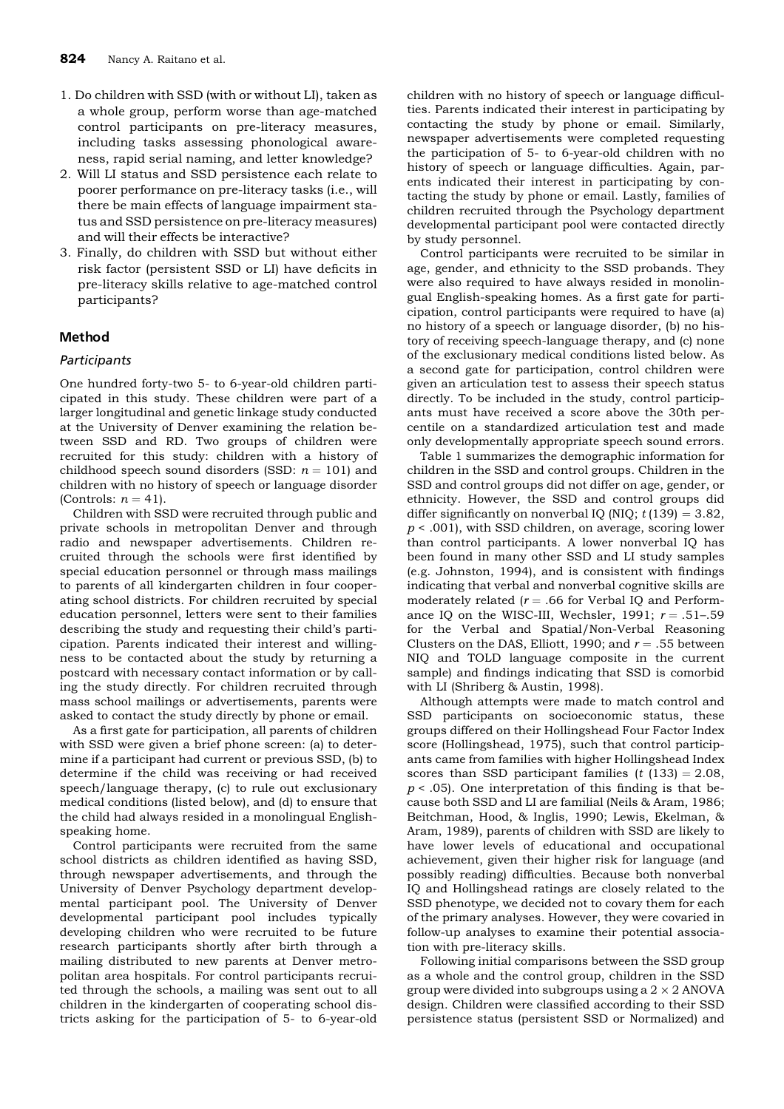- 1. Do children with SSD (with or without LI), taken as a whole group, perform worse than age-matched control participants on pre-literacy measures, including tasks assessing phonological awareness, rapid serial naming, and letter knowledge?
- 2. Will LI status and SSD persistence each relate to poorer performance on pre-literacy tasks (i.e., will there be main effects of language impairment status and SSD persistence on pre-literacy measures) and will their effects be interactive?
- 3. Finally, do children with SSD but without either risk factor (persistent SSD or LI) have deficits in pre-literacy skills relative to age-matched control participants?

# Method

## **Participants**

One hundred forty-two 5- to 6-year-old children participated in this study. These children were part of a larger longitudinal and genetic linkage study conducted at the University of Denver examining the relation between SSD and RD. Two groups of children were recruited for this study: children with a history of childhood speech sound disorders (SSD:  $n = 101$ ) and children with no history of speech or language disorder (Controls:  $n = 41$ ).

Children with SSD were recruited through public and private schools in metropolitan Denver and through radio and newspaper advertisements. Children recruited through the schools were first identified by special education personnel or through mass mailings to parents of all kindergarten children in four cooperating school districts. For children recruited by special education personnel, letters were sent to their families describing the study and requesting their child's participation. Parents indicated their interest and willingness to be contacted about the study by returning a postcard with necessary contact information or by calling the study directly. For children recruited through mass school mailings or advertisements, parents were asked to contact the study directly by phone or email.

As a first gate for participation, all parents of children with SSD were given a brief phone screen: (a) to determine if a participant had current or previous SSD, (b) to determine if the child was receiving or had received speech/language therapy, (c) to rule out exclusionary medical conditions (listed below), and (d) to ensure that the child had always resided in a monolingual Englishspeaking home.

Control participants were recruited from the same school districts as children identified as having SSD, through newspaper advertisements, and through the University of Denver Psychology department developmental participant pool. The University of Denver developmental participant pool includes typically developing children who were recruited to be future research participants shortly after birth through a mailing distributed to new parents at Denver metropolitan area hospitals. For control participants recruited through the schools, a mailing was sent out to all children in the kindergarten of cooperating school districts asking for the participation of 5- to 6-year-old children with no history of speech or language difficulties. Parents indicated their interest in participating by contacting the study by phone or email. Similarly, newspaper advertisements were completed requesting the participation of 5- to 6-year-old children with no history of speech or language difficulties. Again, parents indicated their interest in participating by contacting the study by phone or email. Lastly, families of children recruited through the Psychology department developmental participant pool were contacted directly by study personnel.

Control participants were recruited to be similar in age, gender, and ethnicity to the SSD probands. They were also required to have always resided in monolingual English-speaking homes. As a first gate for participation, control participants were required to have (a) no history of a speech or language disorder, (b) no history of receiving speech-language therapy, and (c) none of the exclusionary medical conditions listed below. As a second gate for participation, control children were given an articulation test to assess their speech status directly. To be included in the study, control participants must have received a score above the 30th percentile on a standardized articulation test and made only developmentally appropriate speech sound errors.

Table 1 summarizes the demographic information for children in the SSD and control groups. Children in the SSD and control groups did not differ on age, gender, or ethnicity. However, the SSD and control groups did differ significantly on nonverbal IO (NIO:  $t(139) = 3.82$ )  $p < .001$ , with SSD children, on average, scoring lower than control participants. A lower nonverbal IQ has been found in many other SSD and LI study samples (e.g. Johnston, 1994), and is consistent with findings indicating that verbal and nonverbal cognitive skills are moderately related ( $r = .66$  for Verbal IQ and Performance IQ on the WISC-III, Wechsler, 1991;  $r = .51-.59$ for the Verbal and Spatial/Non-Verbal Reasoning Clusters on the DAS, Elliott, 1990; and  $r = .55$  between NIQ and TOLD language composite in the current sample) and findings indicating that SSD is comorbid with LI (Shriberg & Austin, 1998).

Although attempts were made to match control and SSD participants on socioeconomic status, these groups differed on their Hollingshead Four Factor Index score (Hollingshead, 1975), such that control participants came from families with higher Hollingshead Index scores than SSD participant families  $(t$  (133) = 2.08,  $p < .05$ ). One interpretation of this finding is that because both SSD and LI are familial (Neils & Aram, 1986; Beitchman, Hood, & Inglis, 1990; Lewis, Ekelman, & Aram, 1989), parents of children with SSD are likely to have lower levels of educational and occupational achievement, given their higher risk for language (and possibly reading) difficulties. Because both nonverbal IQ and Hollingshead ratings are closely related to the SSD phenotype, we decided not to covary them for each of the primary analyses. However, they were covaried in follow-up analyses to examine their potential association with pre-literacy skills.

Following initial comparisons between the SSD group as a whole and the control group, children in the SSD group were divided into subgroups using a  $2 \times 2$  ANOVA design. Children were classified according to their SSD persistence status (persistent SSD or Normalized) and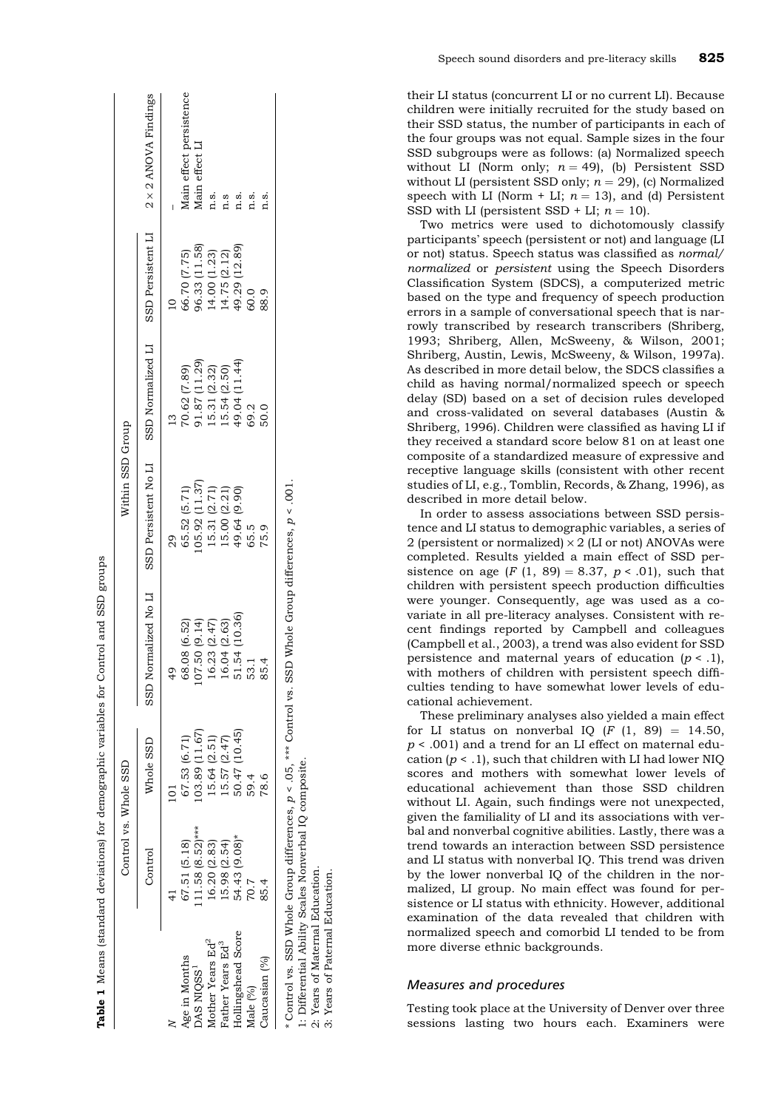| Whole SSD<br>Control                                         |                                              | Within SSD Group  |                   |                             |
|--------------------------------------------------------------|----------------------------------------------|-------------------|-------------------|-----------------------------|
|                                                              | SSD Persistent No LI<br>SSD Normalized No LI | SSD Normalized LI | SSD Persistent LI | $2 \times 2$ ANOVA Findings |
| $\frac{1}{4}$<br>$^{101}$                                    | 29                                           |                   |                   |                             |
| 67.53 (6.71)<br>67.51 (5.18)<br>Age in Months                | 65.52 (5.71)<br>68.08 (6.52)                 | 70.62 (7.89)      | 66.70 (7.75)      | Main effect persistence     |
| .03.89(11.67)<br>$11.58(8.52)***$<br>DAS NIQSS <sup>1</sup>  | 05.92(11.37)<br>107.50 (9.14)                | 91.87 (11.29)     | 96.33 (11.58)     | Main effect LI              |
| 15.64 (2.51)<br>16.20 (2.83)<br>Mother Years Ed <sup>2</sup> | 15.31 (2.71)<br>16.23 (2.47)                 | 15.31 (2.32)      | 14.00 (1.23)      | n.s.                        |
| 15.57 (2.47)<br>15.98 (2.54)<br>Father Years Ed <sup>3</sup> | 15.00 (2.21)<br>16.04 (2.63)                 | 15.54(2.50)       | 14.75(2.12)       | n.s                         |
| 50.47 (10.45)<br>54.43 (9.08)*<br>Hollingshead Score         | 49.64 (9.90)<br>51.54 (10.36)                | 49.04 (11.44)     | 49.29 (12.89)     | n.s.                        |
| 53.1<br>59.4<br>70.7<br>Male (%)                             | 65.5                                         | 69.2              | 60.0              | n.s.                        |
| 85.4<br>78.6<br>85.4<br>Caucasian (%)                        | 75.9                                         | 50.0              | 88.9              | n.s.                        |

rable 1 Means (standard deviations) for demographic variables for Control and SSD groups

Means (standard deviations) for demographic variables for Control and SSD groups

Differential Ability Scales Nonverbal IQ composite. 1: Differential Ability Scales Nonverbal IQ composite.  $\ddot{=}$   $\ddot{\alpha}$   $\ddot{\alpha}$ 

Years of Maternal Education. 2: Years of Maternal Education. 3: Years of Paternal Education. Years of Paternal Education. Speech sound disorders and pre-literacy skills  $825$ 

their LI status (concurrent LI or no current LI). Because children were initially recruited for the study based on their SSD status, the number of participants in each of the four groups was not equal. Sample sizes in the four SSD subgroups were as follows: (a) Normalized speech without LI (Norm only;  $n = 49$ ), (b) Persistent SSD without LI (persistent SSD only;  $n=29$ ), (c) Normalized speech with LI (Norm  $+$  LI;  $n = 13$ ), and (d) Persistent SSD with LI (persistent SSD + LI;  $n = 10$ ).

Two metrics were used to dichotomously classify participants - speech (persistent or not) and language (LI or not) status. Speech status was classified as normal/ normalized or persistent using the Speech Disorders Classification System (SDCS), a computerized metric based on the type and frequency of speech production errors in a sample of conversational speech that is narrowly transcribed by research transcribers (Shriberg, 1993; Shriberg, Allen, McSweeny, & Wilson, 2001; Shriberg, Austin, Lewis, McSweeny, & Wilson, 1997a). As described in more detail below, the SDCS classifies a child as having normal/normalized speech or speech delay (SD) based on a set of decision rules developed and cross-validated on several databases (Austin & Shriberg, 1996). Children were classified as having LI if they received a standard score below 81 on at least one composite of a standardized measure of expressive and receptive language skills (consistent with other recent studies of LI, e.g., Tomblin, Records, & Zhang, 1996), as described in more detail below.

In order to assess associations between SSD persistence and LI status to demographic variables, a series of 2 (persistent or normalized)  $\times$  2 (LI or not) ANOVAs were completed. Results yielded a main effect of SSD persistence on age (F (1, 89) = 8.37,  $p < .01$ ), such that children with persistent speech production difficulties were younger. Consequently, age was used as a covariate in all pre-literacy analyses. Consistent with recent findings reported by Campbell and colleagues (Campbell et al., 2003), a trend was also evident for SSD persistence and maternal years of education  $(p < .1)$ , with mothers of children with persistent speech difficulties tending to have somewhat lower levels of educational achievement.

These preliminary analyses also yielded a main effect for LI status on nonverbal IQ  $(F(1, 89) = 14.50,$  $p < .001$ ) and a trend for an LI effect on maternal education  $(p < 0.1)$ , such that children with LI had lower NIO scores and mothers with somewhat lower levels of educational achievement than those SSD children without LI. Again, such findings were not unexpected, given the familiality of LI and its associations with verbal and nonverbal cognitive abilities. Lastly, there was a trend towards an interaction between SSD persistence and LI status with nonverbal IQ. This trend was driven by the lower nonverbal IQ of the children in the normalized, LI group. No main effect was found for persistence or LI status with ethnicity. However, additional examination of the data revealed that children with normalized speech and comorbid LI tended to be from more diverse ethnic backgrounds.

#### Measures and procedures

Testing took place at the University of Denver over three sessions lasting two hours each. Examiners were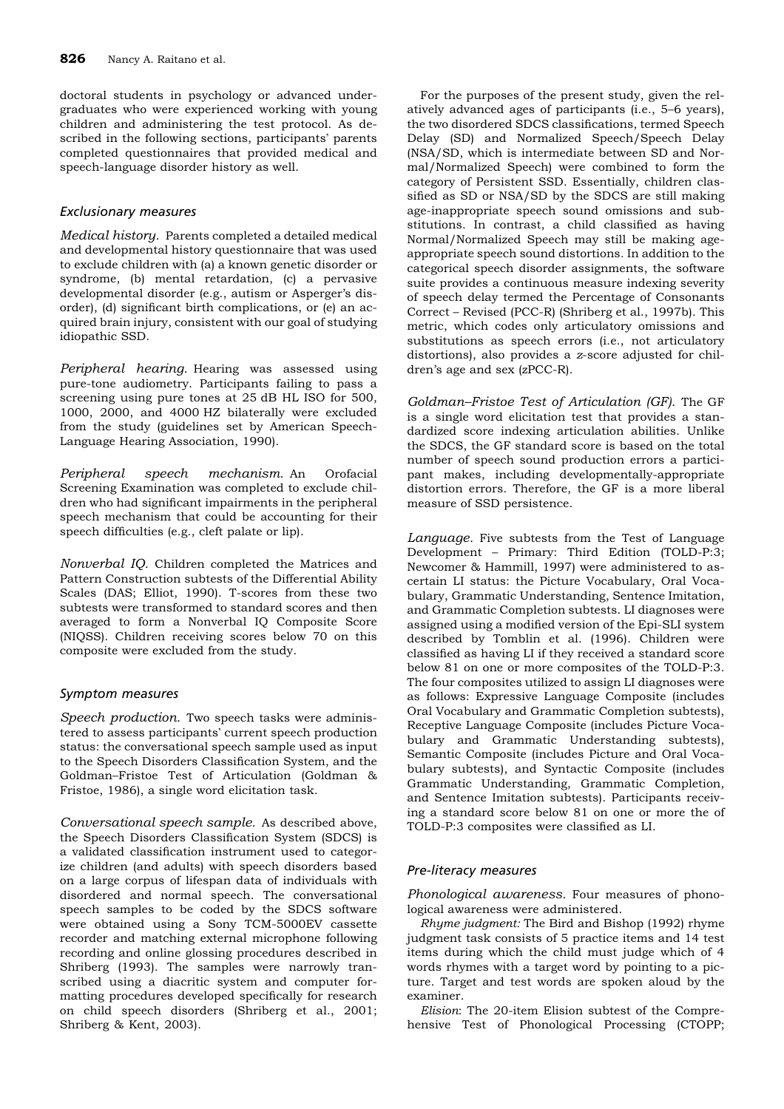doctoral students in psychology or advanced undergraduates who were experienced working with young children and administering the test protocol. As described in the following sections, participants' parents completed questionnaires that provided medical and speech-language disorder history as well.

### Exclusionary measures

Medical history. Parents completed a detailed medical and developmental history questionnaire that was used to exclude children with (a) a known genetic disorder or syndrome, (b) mental retardation, (c) a pervasive developmental disorder (e.g., autism or Asperger's disorder), (d) significant birth complications, or (e) an acquired brain injury, consistent with our goal of studying idiopathic SSD.

Peripheral hearing. Hearing was assessed using pure-tone audiometry. Participants failing to pass a screening using pure tones at 25 dB HL ISO for 500, 1000, 2000, and 4000 HZ bilaterally were excluded from the study (guidelines set by American Speech-Language Hearing Association, 1990).

Peripheral speech mechanism. An Orofacial Screening Examination was completed to exclude children who had significant impairments in the peripheral speech mechanism that could be accounting for their speech difficulties (e.g., cleft palate or lip).

Nonverbal IQ. Children completed the Matrices and Pattern Construction subtests of the Differential Ability Scales (DAS; Elliot, 1990). T-scores from these two subtests were transformed to standard scores and then averaged to form a Nonverbal IQ Composite Score (NIQSS). Children receiving scores below 70 on this composite were excluded from the study.

#### Symptom measures

Speech production. Two speech tasks were administered to assess participants' current speech production status: the conversational speech sample used as input to the Speech Disorders Classification System, and the Goldman–Fristoe Test of Articulation (Goldman & Fristoe, 1986), a single word elicitation task.

Conversational speech sample. As described above, the Speech Disorders Classification System (SDCS) is a validated classification instrument used to categorize children (and adults) with speech disorders based on a large corpus of lifespan data of individuals with disordered and normal speech. The conversational speech samples to be coded by the SDCS software were obtained using a Sony TCM-5000EV cassette recorder and matching external microphone following recording and online glossing procedures described in Shriberg (1993). The samples were narrowly transcribed using a diacritic system and computer formatting procedures developed specifically for research on child speech disorders (Shriberg et al., 2001; Shriberg & Kent, 2003).

For the purposes of the present study, given the relatively advanced ages of participants (i.e., 5–6 years), the two disordered SDCS classifications, termed Speech Delay (SD) and Normalized Speech/Speech Delay (NSA/SD, which is intermediate between SD and Normal/Normalized Speech) were combined to form the category of Persistent SSD. Essentially, children classified as SD or NSA/SD by the SDCS are still making age-inappropriate speech sound omissions and substitutions. In contrast, a child classified as having Normal/Normalized Speech may still be making ageappropriate speech sound distortions. In addition to the categorical speech disorder assignments, the software suite provides a continuous measure indexing severity of speech delay termed the Percentage of Consonants Correct – Revised (PCC-R) (Shriberg et al., 1997b). This metric, which codes only articulatory omissions and substitutions as speech errors (i.e., not articulatory distortions), also provides a z-score adjusted for children's age and sex (zPCC-R).

Goldman–Fristoe Test of Articulation (GF). The GF is a single word elicitation test that provides a standardized score indexing articulation abilities. Unlike the SDCS, the GF standard score is based on the total number of speech sound production errors a participant makes, including developmentally-appropriate distortion errors. Therefore, the GF is a more liberal measure of SSD persistence.

Language. Five subtests from the Test of Language Development – Primary: Third Edition (TOLD-P:3; Newcomer & Hammill, 1997) were administered to ascertain LI status: the Picture Vocabulary, Oral Vocabulary, Grammatic Understanding, Sentence Imitation, and Grammatic Completion subtests. LI diagnoses were assigned using a modified version of the Epi-SLI system described by Tomblin et al. (1996). Children were classified as having LI if they received a standard score below 81 on one or more composites of the TOLD-P:3. The four composites utilized to assign LI diagnoses were as follows: Expressive Language Composite (includes Oral Vocabulary and Grammatic Completion subtests), Receptive Language Composite (includes Picture Vocabulary and Grammatic Understanding subtests), Semantic Composite (includes Picture and Oral Vocabulary subtests), and Syntactic Composite (includes Grammatic Understanding, Grammatic Completion, and Sentence Imitation subtests). Participants receiving a standard score below 81 on one or more the of TOLD-P:3 composites were classified as LI.

#### Pre-literacy measures

Phonological awareness. Four measures of phonological awareness were administered.

Rhyme judgment: The Bird and Bishop (1992) rhyme judgment task consists of 5 practice items and 14 test items during which the child must judge which of 4 words rhymes with a target word by pointing to a picture. Target and test words are spoken aloud by the examiner.

Elision: The 20-item Elision subtest of the Comprehensive Test of Phonological Processing (CTOPP;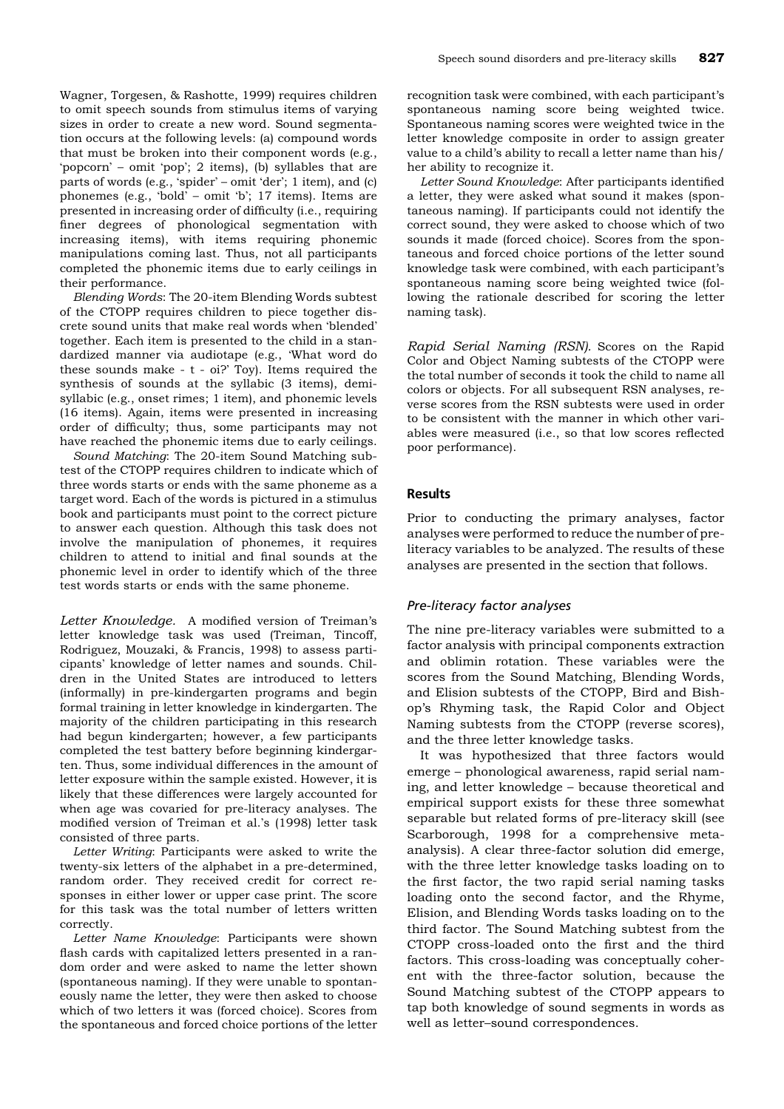sizes in order to create a new word. Sound segmentation occurs at the following levels: (a) compound words that must be broken into their component words (e.g., 'popcorn' – omit 'pop'; 2 items), (b) syllables that are parts of words (e.g., 'spider' – omit 'der'; 1 item), and (c) phonemes (e.g., 'bold' – omit 'b'; 17 items). Items are presented in increasing order of difficulty (i.e., requiring finer degrees of phonological segmentation with increasing items), with items requiring phonemic manipulations coming last. Thus, not all participants completed the phonemic items due to early ceilings in their performance.

Blending Words: The 20-item Blending Words subtest of the CTOPP requires children to piece together discrete sound units that make real words when 'blended' together. Each item is presented to the child in a standardized manner via audiotape (e.g., What word do these sounds make - t - oi?' Toy). Items required the synthesis of sounds at the syllabic (3 items), demisyllabic (e.g., onset rimes; 1 item), and phonemic levels (16 items). Again, items were presented in increasing order of difficulty; thus, some participants may not have reached the phonemic items due to early ceilings.

Sound Matching: The 20-item Sound Matching subtest of the CTOPP requires children to indicate which of three words starts or ends with the same phoneme as a target word. Each of the words is pictured in a stimulus book and participants must point to the correct picture to answer each question. Although this task does not involve the manipulation of phonemes, it requires children to attend to initial and final sounds at the phonemic level in order to identify which of the three test words starts or ends with the same phoneme.

Letter Knowledge. A modified version of Treiman's letter knowledge task was used (Treiman, Tincoff, Rodriguez, Mouzaki, & Francis, 1998) to assess participants' knowledge of letter names and sounds. Children in the United States are introduced to letters (informally) in pre-kindergarten programs and begin formal training in letter knowledge in kindergarten. The majority of the children participating in this research had begun kindergarten; however, a few participants completed the test battery before beginning kindergarten. Thus, some individual differences in the amount of letter exposure within the sample existed. However, it is likely that these differences were largely accounted for when age was covaried for pre-literacy analyses. The modified version of Treiman et al.'s (1998) letter task consisted of three parts.

Letter Writing: Participants were asked to write the twenty-six letters of the alphabet in a pre-determined, random order. They received credit for correct responses in either lower or upper case print. The score for this task was the total number of letters written correctly.

Letter Name Knowledge: Participants were shown flash cards with capitalized letters presented in a random order and were asked to name the letter shown (spontaneous naming). If they were unable to spontaneously name the letter, they were then asked to choose which of two letters it was (forced choice). Scores from the spontaneous and forced choice portions of the letter

recognition task were combined, with each participant's spontaneous naming score being weighted twice. Spontaneous naming scores were weighted twice in the letter knowledge composite in order to assign greater value to a child's ability to recall a letter name than his/ her ability to recognize it.

Letter Sound Knowledge: After participants identified a letter, they were asked what sound it makes (spontaneous naming). If participants could not identify the correct sound, they were asked to choose which of two sounds it made (forced choice). Scores from the spontaneous and forced choice portions of the letter sound knowledge task were combined, with each participant's spontaneous naming score being weighted twice (following the rationale described for scoring the letter naming task).

Rapid Serial Naming (RSN). Scores on the Rapid Color and Object Naming subtests of the CTOPP were the total number of seconds it took the child to name all colors or objects. For all subsequent RSN analyses, reverse scores from the RSN subtests were used in order to be consistent with the manner in which other variables were measured (i.e., so that low scores reflected poor performance).

# Results

Prior to conducting the primary analyses, factor analyses were performed to reduce the number of preliteracy variables to be analyzed. The results of these analyses are presented in the section that follows.

# Pre-literacy factor analyses

The nine pre-literacy variables were submitted to a factor analysis with principal components extraction and oblimin rotation. These variables were the scores from the Sound Matching, Blending Words, and Elision subtests of the CTOPP, Bird and Bishop's Rhyming task, the Rapid Color and Object Naming subtests from the CTOPP (reverse scores), and the three letter knowledge tasks.

It was hypothesized that three factors would emerge – phonological awareness, rapid serial naming, and letter knowledge – because theoretical and empirical support exists for these three somewhat separable but related forms of pre-literacy skill (see Scarborough, 1998 for a comprehensive metaanalysis). A clear three-factor solution did emerge, with the three letter knowledge tasks loading on to the first factor, the two rapid serial naming tasks loading onto the second factor, and the Rhyme, Elision, and Blending Words tasks loading on to the third factor. The Sound Matching subtest from the CTOPP cross-loaded onto the first and the third factors. This cross-loading was conceptually coherent with the three-factor solution, because the Sound Matching subtest of the CTOPP appears to tap both knowledge of sound segments in words as well as letter–sound correspondences.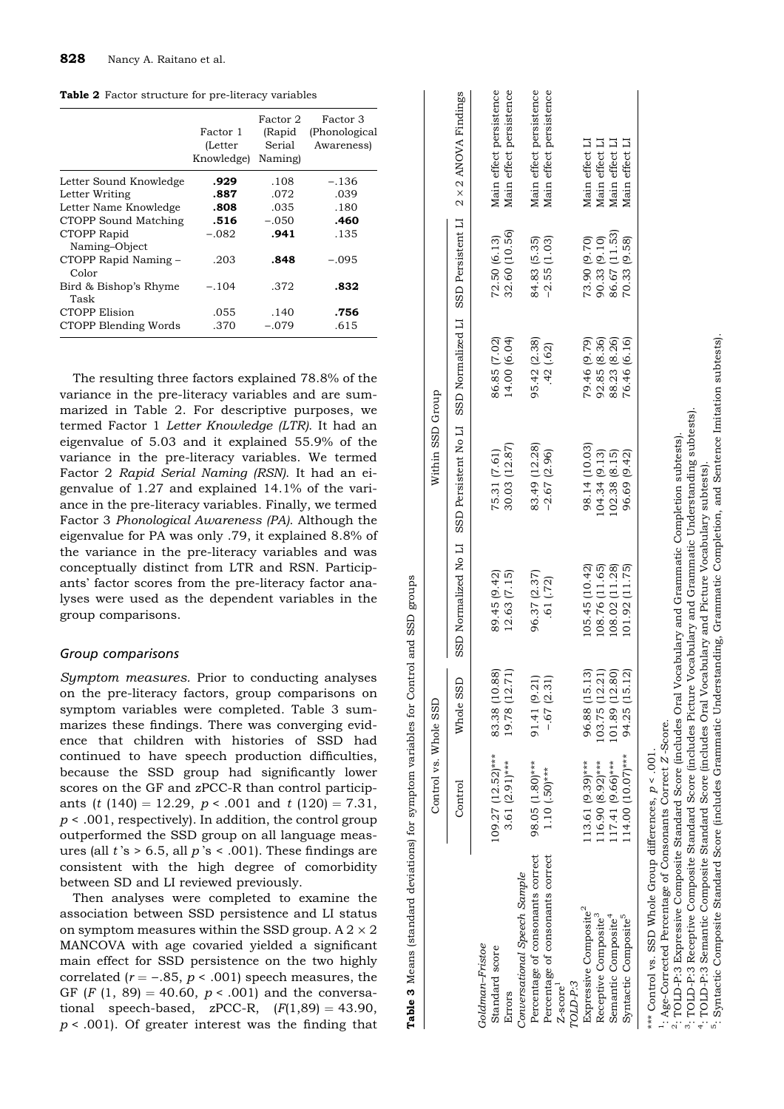|                               | Factor 1<br>(Letter<br>Knowledge) | Factor 2<br>(Rapid<br>Serial<br>Naming) | Factor 3<br>(Phonological<br>Awareness) |
|-------------------------------|-----------------------------------|-----------------------------------------|-----------------------------------------|
| Letter Sound Knowledge        | .929                              | .108                                    | $-.136$                                 |
| Letter Writing                | .887                              | .072                                    | .039                                    |
| Letter Name Knowledge         | .808                              | .035                                    | .180                                    |
| CTOPP Sound Matching          | .516                              | $-.050$                                 | .460                                    |
| CTOPP Rapid<br>Naming-Object  | $-.082$                           | .941                                    | .135                                    |
| CTOPP Rapid Naming -<br>Color | .203                              | .848                                    | $-.095$                                 |
| Bird & Bishop's Rhyme<br>Task | $-.104$                           | .372                                    | .832                                    |
| CTOPP Elision                 | .055                              | .140                                    | .756                                    |
| CTOPP Blending Words          | .370                              | $-.079$                                 | .615                                    |

The resulting three factors explained 78.8% of the variance in the pre-literacy variables and are summarized in Table 2. For descriptive purposes, we termed Factor 1 Letter Knowledge (LTR). It had an eigenvalue of 5.03 and it explained 55.9% of the variance in the pre-literacy variables. We termed Factor 2 Rapid Serial Naming (RSN). It had an eigenvalue of 1.27 and explained 14.1% of the variance in the pre-literacy variables. Finally, we termed Factor 3 Phonological Awareness (PA). Although the eigenvalue for PA was only .79, it explained 8.8% of the variance in the pre-literacy variables and was conceptually distinct from LTR and RSN. Participants' factor scores from the pre-literacy factor analyses were used as the dependent variables in the group comparisons.

#### Group comparisons

Symptom measures. Prior to conducting analyses on the pre-literacy factors, group comparisons on symptom variables were completed. Table 3 summarizes these findings. There was converging evidence that children with histories of SSD had continued to have speech production difficulties, because the SSD group had significantly lower scores on the GF and zPCC-R than control participants (t (140) = 12.29,  $p < .001$  and t (120) = 7.31,  $p < .001$ , respectively). In addition, the control group outperformed the SSD group on all language measures (all  $t$  's > 6.5, all  $p$  's < .001). These findings are consistent with the high degree of comorbidity between SD and LI reviewed previously.

Then analyses were completed to examine the association between SSD persistence and LI status on symptom measures within the SSD group. A  $2 \times 2$ MANCOVA with age covaried yielded a significant main effect for SSD persistence on the two highly correlated ( $r = -.85$ ,  $p < .001$ ) speech measures, the GF (F (1, 89) = 40.60,  $p < .001$ ) and the conversational speech-based, zPCC-R,  $(F(1,89) = 43.90,$  $p < .001$ ). Of greater interest was the finding that

Table 3 Means (standard deviations) for symptom variables for Control and SSD groups for symptom variables for Control and SSD Means (standard deviations) Table 3

groups

|                                                                                                                           | Control vs. Whole SSD |                    |                                                                               | Within SSD Group              |              |               |                                                    |
|---------------------------------------------------------------------------------------------------------------------------|-----------------------|--------------------|-------------------------------------------------------------------------------|-------------------------------|--------------|---------------|----------------------------------------------------|
|                                                                                                                           | Control               | Whole SSD          | SSD Normalized No LI SSD Persistent No LI SSD Normalized LI SSD Persistent LI |                               |              |               | $2 \times 2$ ANOVA Findings                        |
| Goldman-Fristoe<br>Standard score                                                                                         | $109.27$ $(12.52)***$ | 83.38 (10.88)      | 89.45 (9.42)                                                                  |                               | 86.85 (7.02) | 72.50 (6.13)  |                                                    |
| Errors                                                                                                                    | $3.61(2.91)***$       | 19.78 (12.71)      | 12.63 (7.15)                                                                  | 30.03 (12.87)<br>75.31 (7.61) | 14.00 (6.04) | 32.60 (10.56) | Main effect persistence<br>Main effect persistence |
| Conversational Speech Sample                                                                                              |                       |                    |                                                                               |                               |              |               |                                                    |
| Percentage of consonants correct                                                                                          | 98.05 (1.80)***       | 91.41 (9.21)       | 96.37 (2.37)                                                                  | 83.49 (12.28)                 | 95.42 (2.38) | 84.83 (5.35)  | Main effect persistence                            |
| Percentage of consonants correct                                                                                          | $1.10(.50)***$        | $-.67(2.31)$       | .61(.72)                                                                      | $-2.67(2.96)$                 | .42(.62)     | $-2.55(1.03)$ | Main effect persistence                            |
| $Z$ -score $T$                                                                                                            |                       |                    |                                                                               |                               |              |               |                                                    |
| TOLD-P:3                                                                                                                  |                       |                    |                                                                               |                               |              |               |                                                    |
| Expressive Composite <sup>2</sup>                                                                                         | 113.61 (9.39)***      | 13)<br>96.88 (15.1 | 105.45 (10.42)                                                                | 98.14 (10.03)                 | 79.46 (9.79) | 73.90 (9.70)  | Main effect LI                                     |
| Receptive Composite <sup>3</sup>                                                                                          | $116.90(8.92)***$     | 103.75 (12.21)     | 108.76 (11.65)                                                                | 104.34 (9.13)                 | 92.85 (8.36) | 90.33 (9.10)  | Main effect LI                                     |
| Semantic Composite <sup>4</sup>                                                                                           | $17.41(9.66)***$      | 101.89 (12.80)     | 108.02 (11.28)                                                                | 102.38 (8.15)                 | 88.23 (8.26) | 86.67 (11.53) | Main effect LI                                     |
| Syntactic Composite <sup>5</sup>                                                                                          | 14.00 (10.07)***      | 12)<br>94.25 (15.  | (01.92 (11.75)                                                                | 96.69 (9.42)                  | 76.46 (6.16) | 70.33 (9.58)  | Main effect LI                                     |
| *** Control vs. SSD Whole Group differences, $p < 0.001$ .                                                                |                       |                    |                                                                               |                               |              |               |                                                    |
| <sup>1</sup> : Age-Corrected Percentage of Consonants Correct Z-Score.                                                    |                       |                    |                                                                               |                               |              |               |                                                    |
| <sup>2</sup> : TOLD-P:3 Expressive Composite Standard Score (includes Oral Vocabulary and Grammatic Completion subtests). |                       |                    |                                                                               |                               |              |               |                                                    |

3: TOLD-P:3 Receptive Composite Standard Score (includes Picture Vocabulary and Grammatic Understanding subtests). TOLD-P:3 Receptive Composite Standard Score (includes Picture Vocabulary and Grammatic Understanding subtests) TOLD-P:3 Semantic Composite Standard Score (includes Oral Vocabulary and Picture Vocabulary subtests). 4: TOLD-P:3 Semantic Composite Standard Score (includes Oral Vocabulary and Picture Vocabulary subtests).

.<br>ო

5: Syntactic Composite Standard Score (includes Grammatic Understanding, Grammatic Completion, and Sentence Imitation subtests). Grammatic Completion, and Sentence Imitation subtests) Score (includes Grammatic Understanding, Standard Syntactic Composite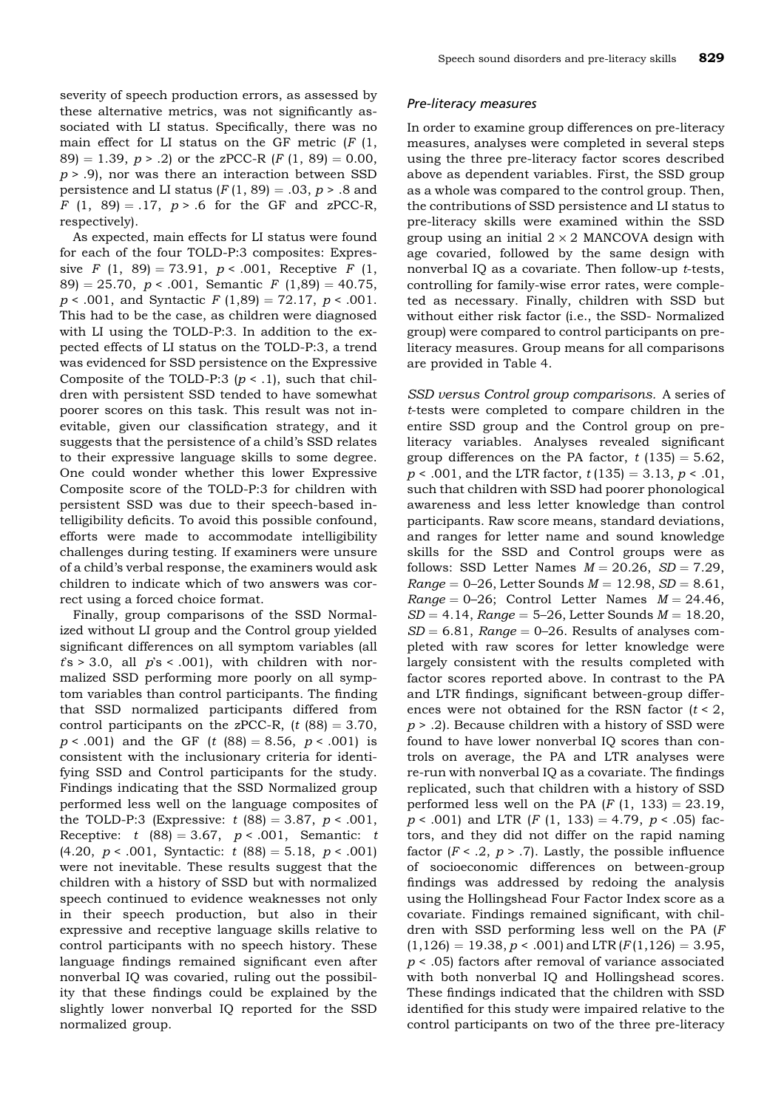severity of speech production errors, as assessed by these alternative metrics, was not significantly associated with LI status. Specifically, there was no main effect for LI status on the GF metric  $(F(1,$  $89$  = 1.39, p > .2) or the zPCC-R (F (1, 89) = 0.00,  $p > .9$ , nor was there an interaction between SSD persistence and LI status  $(F(1, 89) = .03, p > .8$  and F (1, 89) = .17,  $p > .6$  for the GF and zPCC-R, respectively).

As expected, main effects for LI status were found for each of the four TOLD-P:3 composites: Expressive F (1, 89) = 73.91,  $p < .001$ , Receptive F (1,  $89 = 25.70$ ,  $p < .001$ , Semantic F (1,89) = 40.75,  $p < .001$ , and Syntactic  $F(1,89) = 72.17$ ,  $p < .001$ . This had to be the case, as children were diagnosed with LI using the TOLD-P:3. In addition to the expected effects of LI status on the TOLD-P:3, a trend was evidenced for SSD persistence on the Expressive Composite of the TOLD-P:3  $(p < .1)$ , such that children with persistent SSD tended to have somewhat poorer scores on this task. This result was not inevitable, given our classification strategy, and it suggests that the persistence of a child's SSD relates to their expressive language skills to some degree. One could wonder whether this lower Expressive Composite score of the TOLD-P:3 for children with persistent SSD was due to their speech-based intelligibility deficits. To avoid this possible confound, efforts were made to accommodate intelligibility challenges during testing. If examiners were unsure of a child's verbal response, the examiners would ask children to indicate which of two answers was correct using a forced choice format.

Finally, group comparisons of the SSD Normalized without LI group and the Control group yielded significant differences on all symptom variables (all  $t$ 's > 3.0, all  $p$ 's < .001), with children with normalized SSD performing more poorly on all symptom variables than control participants. The finding that SSD normalized participants differed from control participants on the zPCC-R,  $(t$  (88) = 3.70,  $p < .001$ ) and the GF (t (88) = 8.56,  $p < .001$ ) is consistent with the inclusionary criteria for identifying SSD and Control participants for the study. Findings indicating that the SSD Normalized group performed less well on the language composites of the TOLD-P:3 (Expressive:  $t$  (88) = 3.87,  $p < .001$ , Receptive:  $t (88) = 3.67$ ,  $p < .001$ , Semantic:  $t$  $(4.20, p < .001, Syntactic: t (88) = 5.18, p < .001)$ were not inevitable. These results suggest that the children with a history of SSD but with normalized speech continued to evidence weaknesses not only in their speech production, but also in their expressive and receptive language skills relative to control participants with no speech history. These language findings remained significant even after nonverbal IQ was covaried, ruling out the possibility that these findings could be explained by the slightly lower nonverbal IQ reported for the SSD normalized group.

#### Pre-literacy measures

In order to examine group differences on pre-literacy measures, analyses were completed in several steps using the three pre-literacy factor scores described above as dependent variables. First, the SSD group as a whole was compared to the control group. Then, the contributions of SSD persistence and LI status to pre-literacy skills were examined within the SSD group using an initial  $2 \times 2$  MANCOVA design with age covaried, followed by the same design with nonverbal IQ as a covariate. Then follow-up t-tests, controlling for family-wise error rates, were completed as necessary. Finally, children with SSD but without either risk factor (i.e., the SSD- Normalized group) were compared to control participants on preliteracy measures. Group means for all comparisons are provided in Table 4.

SSD versus Control group comparisons. A series of t-tests were completed to compare children in the entire SSD group and the Control group on preliteracy variables. Analyses revealed significant group differences on the PA factor,  $t(135) = 5.62$ ,  $p < .001$ , and the LTR factor,  $t(135) = 3.13, p < .01$ , such that children with SSD had poorer phonological awareness and less letter knowledge than control participants. Raw score means, standard deviations, and ranges for letter name and sound knowledge skills for the SSD and Control groups were as follows: SSD Letter Names  $M = 20.26$ ,  $SD = 7.29$ ,  $Range = 0-26$ , Letter Sounds  $M = 12.98$ ,  $SD = 8.61$ ,  $Range = 0-26$ ; Control Letter Names  $M = 24.46$ ,  $SD = 4.14$ , Range = 5–26, Letter Sounds  $M = 18.20$ ,  $SD = 6.81$ , Range = 0–26. Results of analyses completed with raw scores for letter knowledge were largely consistent with the results completed with factor scores reported above. In contrast to the PA and LTR findings, significant between-group differences were not obtained for the RSN factor  $(t < 2)$ ,  $p$  > .2). Because children with a history of SSD were found to have lower nonverbal IQ scores than controls on average, the PA and LTR analyses were re-run with nonverbal IQ as a covariate. The findings replicated, such that children with a history of SSD performed less well on the PA  $(F(1, 133) = 23.19,$  $p < .001$ ) and LTR (F (1, 133) = 4.79,  $p < .05$ ) factors, and they did not differ on the rapid naming factor  $(F < .2, p > .7)$ . Lastly, the possible influence of socioeconomic differences on between-group findings was addressed by redoing the analysis using the Hollingshead Four Factor Index score as a covariate. Findings remained significant, with children with SSD performing less well on the PA (F  $(1,126) = 19.38$ ,  $p < .001$  and LTR  $(F(1,126) = 3.95$ ,  $p < .05$ ) factors after removal of variance associated with both nonverbal IQ and Hollingshead scores. These findings indicated that the children with SSD identified for this study were impaired relative to the control participants on two of the three pre-literacy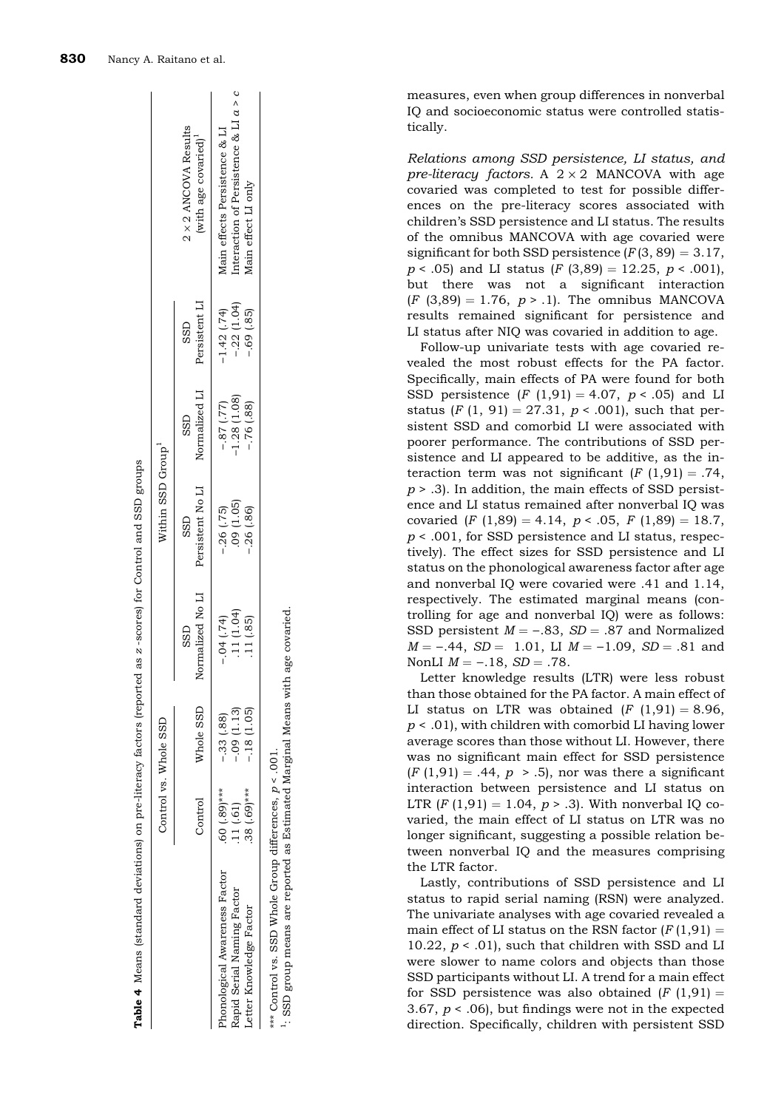|                                                                                      |                                             | Control vs. Whole SSD                 |                                        | Within SSD Group <sup>4</sup>              |                                        |                                        |                                                                                                 |
|--------------------------------------------------------------------------------------|---------------------------------------------|---------------------------------------|----------------------------------------|--------------------------------------------|----------------------------------------|----------------------------------------|-------------------------------------------------------------------------------------------------|
|                                                                                      | Control                                     | Whole SSD                             | Normalized No LI<br>SSD                | Persistent No LI<br>SSD                    | Normalized LI<br>SSD                   | Persistent LI<br>SSD                   | $2 \times 2$ ANCOVA Results<br>(with age covaried) <sup>1</sup>                                 |
| honological Awareness Factor<br>Rapid Serial Naming Factor<br>etter Knowledge Factor | $60(.89)$ ***<br>$-38(.69)$ ***<br>11 (.61) | .09(1.13)<br>.18(1.05)<br>$-.33(.88)$ | 11 (1.04)<br>11 (.85)<br>$-0.04$ (.74) | $(50.1)$ 60.<br>$-.26(.86)$<br>$-.26(.75)$ | .1.28(1.08)<br>$-76(.88)$<br>$-87(77)$ | $-22(1.04)$<br>.69(.85)<br>$-1.42(74)$ | Interaction of Persistence & LI $a > c$<br>Main effects Persistence & LI<br>Main effect LI only |
|                                                                                      |                                             |                                       |                                        |                                            |                                        |                                        |                                                                                                 |

Table 4 Means (standard deviations) on pre-literacy factors (reported as z-scores) for Control and SSD groups

Means (standard deviations) on pre-literacy factors (reported as z -scores) for Control and SSD groups

\*\*\* Control vs. SSD Whole Group differences, p < .001. Control vs. SSD Whole Group differences,  $p < .001$  $*$ <br> $\frac{1}{1}$ .

SSD group means are reported as Estimated Marginal Means with age covaried.

1: SSD group means are reported as Estimated Marginal Means with age covaried.

measures, even when group differences in nonverbal IQ and socioeconomic status were controlled statistically.

Relations among SSD persistence, LI status, and pre-literacy factors. A  $2 \times 2$  MANCOVA with age covaried was completed to test for possible differences on the pre-literacy scores associated with children's SSD persistence and LI status. The results of the omnibus MANCOVA with age covaried were significant for both SSD persistence  $(F(3, 89) = 3.17,$  $p$  < .05) and LI status (F (3,89) = 12.25,  $p$  < .001), but there was not a significant interaction  $(F (3,89) = 1.76, p > .1)$ . The omnibus MANCOVA results remained significant for persistence and LI status after NIQ was covaried in addition to age.

Follow-up univariate tests with age covaried revealed the most robust effects for the PA factor. Specifically, main effects of PA were found for both SSD persistence  $(F(1,91) = 4.07, p < .05)$  and LI status  $(F(1, 91) = 27.31, p < .001)$ , such that persistent SSD and comorbid LI were associated with poorer performance. The contributions of SSD persistence and LI appeared to be additive, as the interaction term was not significant  $(F(1,91) = .74$ ,  $p > .3$ ). In addition, the main effects of SSD persistence and LI status remained after nonverbal IQ was covaried  $(F (1,89) = 4.14, p < .05, F (1,89) = 18.7,$  $p < .001$ , for SSD persistence and LI status, respectively). The effect sizes for SSD persistence and LI status on the phonological awareness factor after age and nonverbal IQ were covaried were .41 and 1.14, respectively. The estimated marginal means (controlling for age and nonverbal IQ) were as follows: SSD persistent  $M = -.83$ , SD = .87 and Normalized  $M = -.44$ ,  $SD = 1.01$ , LI  $M = -1.09$ ,  $SD = .81$  and NonLI  $M = -.18$ ,  $SD = .78$ .

Letter knowledge results (LTR) were less robust than those obtained for the PA factor. A main effect of LI status on LTR was obtained  $(F(1,91) = 8.96,$  $p < .01$ ), with children with comorbid LI having lower average scores than those without LI. However, there was no significant main effect for SSD persistence  $(F(1,91) = .44, p > .5)$ , nor was there a significant interaction between persistence and LI status on LTR  $(F(1,91)=1.04,\ p> .3)$ . With nonverbal IQ covaried, the main effect of LI status on LTR was no longer significant, suggesting a possible relation between nonverbal IQ and the measures comprising the LTR factor.

Lastly, contributions of SSD persistence and LI status to rapid serial naming (RSN) were analyzed. The univariate analyses with age covaried revealed a main effect of LI status on the RSN factor ( $F\left( 1,91\right) =% \mathbb{Z}$ 10.22,  $p < 0.01$ , such that children with SSD and LI were slower to name colors and objects than those SSD participants without LI. A trend for a main effect for SSD persistence was also obtained  $(F(1,91) =$ 3.67,  $p <$  .06), but findings were not in the expected direction. Specifically, children with persistent SSD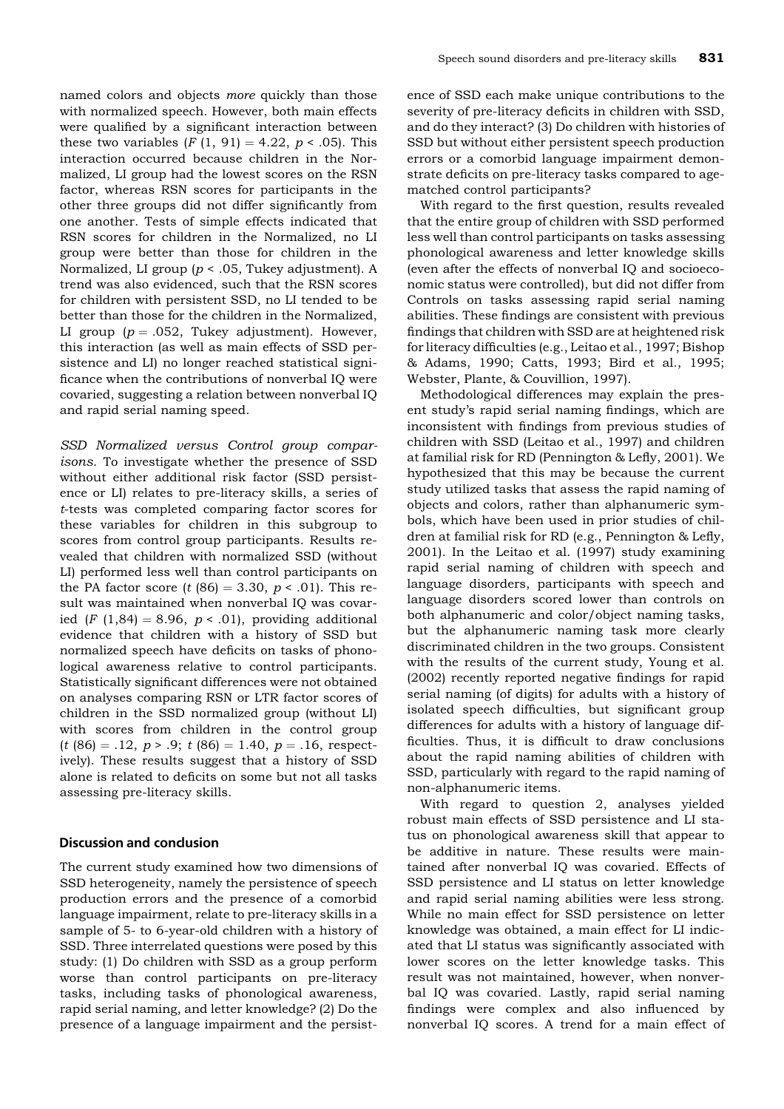named colors and objects more quickly than those with normalized speech. However, both main effects were qualified by a significant interaction between these two variables  $(F (1, 91) = 4.22, p < .05)$ . This interaction occurred because children in the Normalized, LI group had the lowest scores on the RSN factor, whereas RSN scores for participants in the other three groups did not differ significantly from one another. Tests of simple effects indicated that RSN scores for children in the Normalized, no LI group were better than those for children in the Normalized, LI group ( $p < .05$ , Tukey adjustment). A trend was also evidenced, such that the RSN scores for children with persistent SSD, no LI tended to be better than those for the children in the Normalized, LI group ( $p = .052$ , Tukey adjustment). However, this interaction (as well as main effects of SSD persistence and LI) no longer reached statistical significance when the contributions of nonverbal IQ were covaried, suggesting a relation between nonverbal IQ and rapid serial naming speed.

SSD Normalized versus Control group comparisons. To investigate whether the presence of SSD without either additional risk factor (SSD persistence or LI) relates to pre-literacy skills, a series of t-tests was completed comparing factor scores for these variables for children in this subgroup to scores from control group participants. Results revealed that children with normalized SSD (without LI) performed less well than control participants on the PA factor score (t  $(86) = 3.30, p < .01$ ). This result was maintained when nonverbal IQ was covaried (F (1,84) = 8.96,  $p < .01$ ), providing additional evidence that children with a history of SSD but normalized speech have deficits on tasks of phonological awareness relative to control participants. Statistically significant differences were not obtained on analyses comparing RSN or LTR factor scores of children in the SSD normalized group (without LI) with scores from children in the control group  $(t (86) = .12, p > .9; t (86) = 1.40, p = .16, respectively$ ively). These results suggest that a history of SSD alone is related to deficits on some but not all tasks assessing pre-literacy skills.

## Discussion and conclusion

The current study examined how two dimensions of SSD heterogeneity, namely the persistence of speech production errors and the presence of a comorbid language impairment, relate to pre-literacy skills in a sample of 5- to 6-year-old children with a history of SSD. Three interrelated questions were posed by this study: (1) Do children with SSD as a group perform worse than control participants on pre-literacy tasks, including tasks of phonological awareness, rapid serial naming, and letter knowledge? (2) Do the presence of a language impairment and the persistence of SSD each make unique contributions to the severity of pre-literacy deficits in children with SSD, and do they interact? (3) Do children with histories of SSD but without either persistent speech production errors or a comorbid language impairment demonstrate deficits on pre-literacy tasks compared to agematched control participants?

With regard to the first question, results revealed that the entire group of children with SSD performed less well than control participants on tasks assessing phonological awareness and letter knowledge skills (even after the effects of nonverbal IQ and socioeconomic status were controlled), but did not differ from Controls on tasks assessing rapid serial naming abilities. These findings are consistent with previous findings that children with SSD are at heightened risk for literacy difficulties (e.g., Leitao et al., 1997; Bishop & Adams, 1990; Catts, 1993; Bird et al., 1995; Webster, Plante, & Couvillion, 1997).

Methodological differences may explain the present study's rapid serial naming findings, which are inconsistent with findings from previous studies of children with SSD (Leitao et al., 1997) and children at familial risk for RD (Pennington & Lefly, 2001). We hypothesized that this may be because the current study utilized tasks that assess the rapid naming of objects and colors, rather than alphanumeric symbols, which have been used in prior studies of children at familial risk for RD (e.g., Pennington & Lefly, 2001). In the Leitao et al. (1997) study examining rapid serial naming of children with speech and language disorders, participants with speech and language disorders scored lower than controls on both alphanumeric and color/object naming tasks, but the alphanumeric naming task more clearly discriminated children in the two groups. Consistent with the results of the current study, Young et al. (2002) recently reported negative findings for rapid serial naming (of digits) for adults with a history of isolated speech difficulties, but significant group differences for adults with a history of language difficulties. Thus, it is difficult to draw conclusions about the rapid naming abilities of children with SSD, particularly with regard to the rapid naming of non-alphanumeric items.

With regard to question 2, analyses yielded robust main effects of SSD persistence and LI status on phonological awareness skill that appear to be additive in nature. These results were maintained after nonverbal IQ was covaried. Effects of SSD persistence and LI status on letter knowledge and rapid serial naming abilities were less strong. While no main effect for SSD persistence on letter knowledge was obtained, a main effect for LI indicated that LI status was significantly associated with lower scores on the letter knowledge tasks. This result was not maintained, however, when nonverbal IQ was covaried. Lastly, rapid serial naming findings were complex and also influenced by nonverbal IQ scores. A trend for a main effect of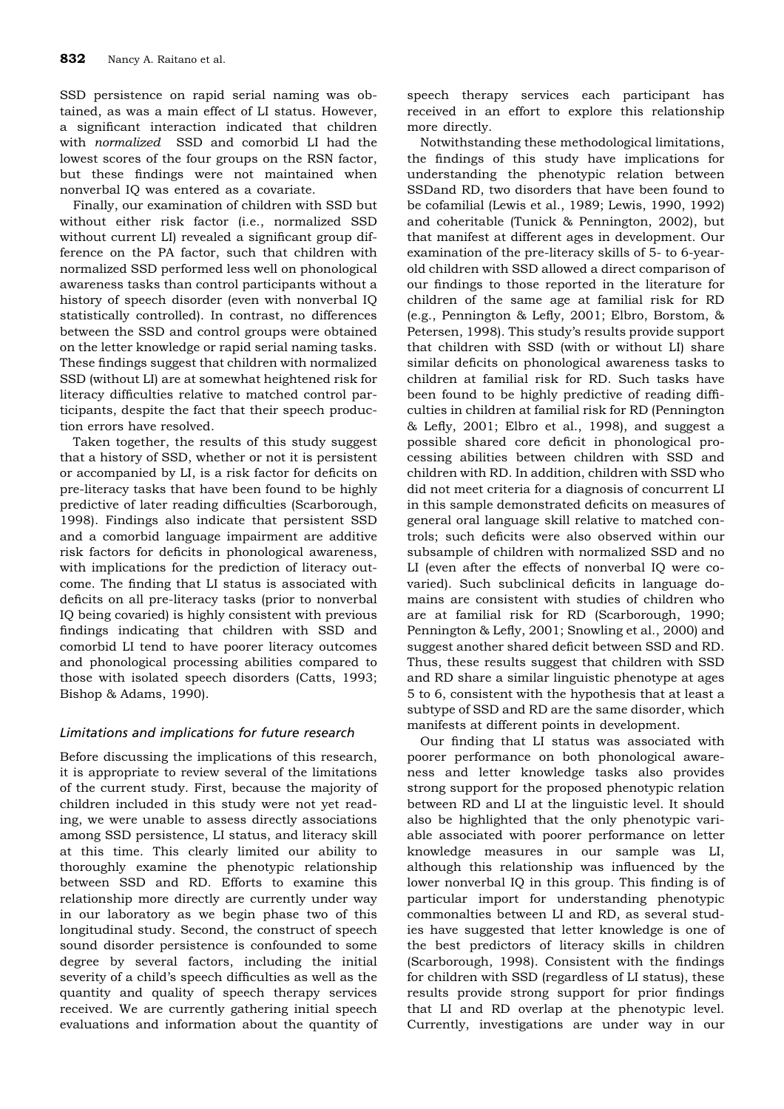SSD persistence on rapid serial naming was obtained, as was a main effect of LI status. However, a significant interaction indicated that children with normalized SSD and comorbid LI had the lowest scores of the four groups on the RSN factor, but these findings were not maintained when nonverbal IQ was entered as a covariate.

Finally, our examination of children with SSD but without either risk factor (i.e., normalized SSD without current LI) revealed a significant group difference on the PA factor, such that children with normalized SSD performed less well on phonological awareness tasks than control participants without a history of speech disorder (even with nonverbal IQ statistically controlled). In contrast, no differences between the SSD and control groups were obtained on the letter knowledge or rapid serial naming tasks. These findings suggest that children with normalized SSD (without LI) are at somewhat heightened risk for literacy difficulties relative to matched control participants, despite the fact that their speech production errors have resolved.

Taken together, the results of this study suggest that a history of SSD, whether or not it is persistent or accompanied by LI, is a risk factor for deficits on pre-literacy tasks that have been found to be highly predictive of later reading difficulties (Scarborough, 1998). Findings also indicate that persistent SSD and a comorbid language impairment are additive risk factors for deficits in phonological awareness, with implications for the prediction of literacy outcome. The finding that LI status is associated with deficits on all pre-literacy tasks (prior to nonverbal IQ being covaried) is highly consistent with previous findings indicating that children with SSD and comorbid LI tend to have poorer literacy outcomes and phonological processing abilities compared to those with isolated speech disorders (Catts, 1993; Bishop & Adams, 1990).

## Limitations and implications for future research

Before discussing the implications of this research, it is appropriate to review several of the limitations of the current study. First, because the majority of children included in this study were not yet reading, we were unable to assess directly associations among SSD persistence, LI status, and literacy skill at this time. This clearly limited our ability to thoroughly examine the phenotypic relationship between SSD and RD. Efforts to examine this relationship more directly are currently under way in our laboratory as we begin phase two of this longitudinal study. Second, the construct of speech sound disorder persistence is confounded to some degree by several factors, including the initial severity of a child's speech difficulties as well as the quantity and quality of speech therapy services received. We are currently gathering initial speech evaluations and information about the quantity of speech therapy services each participant has received in an effort to explore this relationship more directly.

Notwithstanding these methodological limitations, the findings of this study have implications for understanding the phenotypic relation between SSDand RD, two disorders that have been found to be cofamilial (Lewis et al., 1989; Lewis, 1990, 1992) and coheritable (Tunick & Pennington, 2002), but that manifest at different ages in development. Our examination of the pre-literacy skills of 5- to 6-yearold children with SSD allowed a direct comparison of our findings to those reported in the literature for children of the same age at familial risk for RD (e.g., Pennington & Lefly, 2001; Elbro, Borstom, & Petersen, 1998). This study's results provide support that children with SSD (with or without LI) share similar deficits on phonological awareness tasks to children at familial risk for RD. Such tasks have been found to be highly predictive of reading difficulties in children at familial risk for RD (Pennington & Lefly, 2001; Elbro et al., 1998), and suggest a possible shared core deficit in phonological processing abilities between children with SSD and children with RD. In addition, children with SSD who did not meet criteria for a diagnosis of concurrent LI in this sample demonstrated deficits on measures of general oral language skill relative to matched controls; such deficits were also observed within our subsample of children with normalized SSD and no LI (even after the effects of nonverbal IQ were covaried). Such subclinical deficits in language domains are consistent with studies of children who are at familial risk for RD (Scarborough, 1990; Pennington & Lefly, 2001; Snowling et al., 2000) and suggest another shared deficit between SSD and RD. Thus, these results suggest that children with SSD and RD share a similar linguistic phenotype at ages 5 to 6, consistent with the hypothesis that at least a subtype of SSD and RD are the same disorder, which manifests at different points in development.

Our finding that LI status was associated with poorer performance on both phonological awareness and letter knowledge tasks also provides strong support for the proposed phenotypic relation between RD and LI at the linguistic level. It should also be highlighted that the only phenotypic variable associated with poorer performance on letter knowledge measures in our sample was LI, although this relationship was influenced by the lower nonverbal IQ in this group. This finding is of particular import for understanding phenotypic commonalties between LI and RD, as several studies have suggested that letter knowledge is one of the best predictors of literacy skills in children (Scarborough, 1998). Consistent with the findings for children with SSD (regardless of LI status), these results provide strong support for prior findings that LI and RD overlap at the phenotypic level. Currently, investigations are under way in our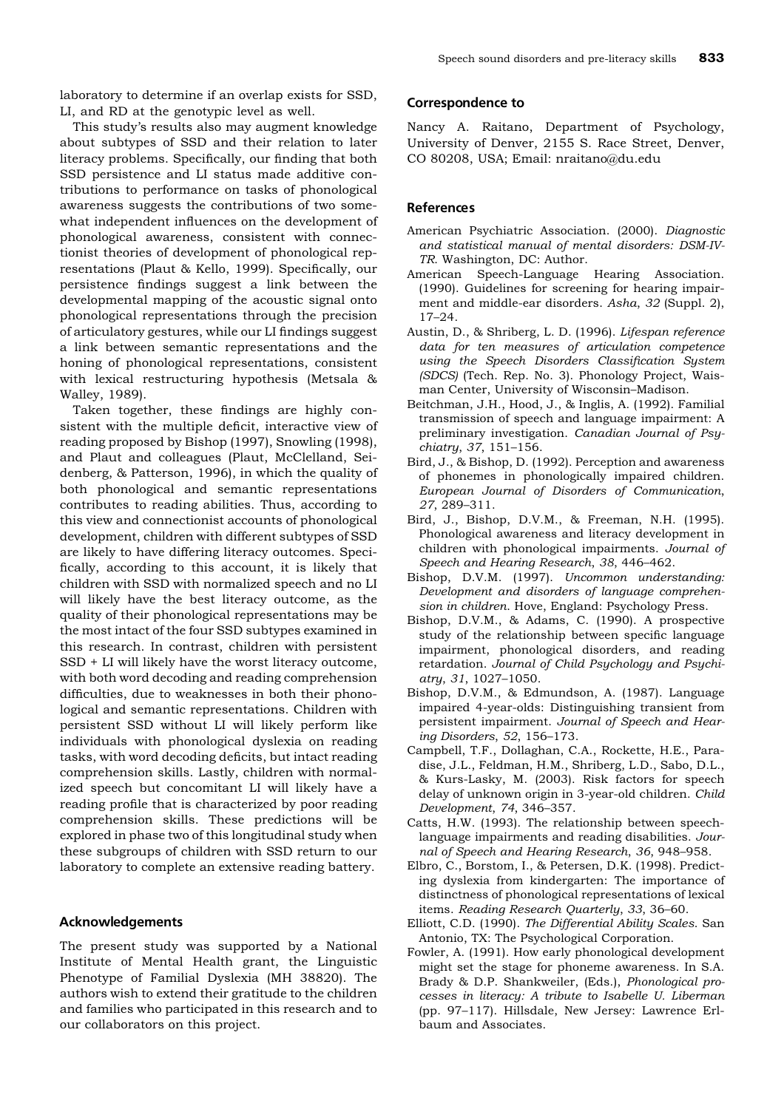laboratory to determine if an overlap exists for SSD, LI, and RD at the genotypic level as well.

This study's results also may augment knowledge about subtypes of SSD and their relation to later literacy problems. Specifically, our finding that both SSD persistence and LI status made additive contributions to performance on tasks of phonological awareness suggests the contributions of two somewhat independent influences on the development of phonological awareness, consistent with connectionist theories of development of phonological representations (Plaut & Kello, 1999). Specifically, our persistence findings suggest a link between the developmental mapping of the acoustic signal onto phonological representations through the precision of articulatory gestures, while our LI findings suggest a link between semantic representations and the honing of phonological representations, consistent with lexical restructuring hypothesis (Metsala & Walley, 1989).

Taken together, these findings are highly consistent with the multiple deficit, interactive view of reading proposed by Bishop (1997), Snowling (1998), and Plaut and colleagues (Plaut, McClelland, Seidenberg, & Patterson, 1996), in which the quality of both phonological and semantic representations contributes to reading abilities. Thus, according to this view and connectionist accounts of phonological development, children with different subtypes of SSD are likely to have differing literacy outcomes. Specifically, according to this account, it is likely that children with SSD with normalized speech and no LI will likely have the best literacy outcome, as the quality of their phonological representations may be the most intact of the four SSD subtypes examined in this research. In contrast, children with persistent SSD + LI will likely have the worst literacy outcome, with both word decoding and reading comprehension difficulties, due to weaknesses in both their phonological and semantic representations. Children with persistent SSD without LI will likely perform like individuals with phonological dyslexia on reading tasks, with word decoding deficits, but intact reading comprehension skills. Lastly, children with normalized speech but concomitant LI will likely have a reading profile that is characterized by poor reading comprehension skills. These predictions will be explored in phase two of this longitudinal study when these subgroups of children with SSD return to our laboratory to complete an extensive reading battery.

#### Acknowledgements

The present study was supported by a National Institute of Mental Health grant, the Linguistic Phenotype of Familial Dyslexia (MH 38820). The authors wish to extend their gratitude to the children and families who participated in this research and to our collaborators on this project.

#### Correspondence to

Nancy A. Raitano, Department of Psychology, University of Denver, 2155 S. Race Street, Denver, CO 80208, USA; Email: nraitano@du.edu

#### References

- American Psychiatric Association. (2000). Diagnostic and statistical manual of mental disorders: DSM-IV-TR. Washington, DC: Author.
- American Speech-Language Hearing Association. (1990). Guidelines for screening for hearing impairment and middle-ear disorders. Asha, 32 (Suppl. 2), 17–24.
- Austin, D., & Shriberg, L. D. (1996). Lifespan reference data for ten measures of articulation competence using the Speech Disorders Classification System (SDCS) (Tech. Rep. No. 3). Phonology Project, Waisman Center, University of Wisconsin–Madison.
- Beitchman, J.H., Hood, J., & Inglis, A. (1992). Familial transmission of speech and language impairment: A preliminary investigation. Canadian Journal of Psychiatry, 37, 151–156.
- Bird, J., & Bishop, D. (1992). Perception and awareness of phonemes in phonologically impaired children. European Journal of Disorders of Communication, 27, 289–311.
- Bird, J., Bishop, D.V.M., & Freeman, N.H. (1995). Phonological awareness and literacy development in children with phonological impairments. Journal of Speech and Hearing Research, 38, 446–462.
- Bishop, D.V.M. (1997). Uncommon understanding: Development and disorders of language comprehension in children. Hove, England: Psychology Press.
- Bishop, D.V.M., & Adams, C. (1990). A prospective study of the relationship between specific language impairment, phonological disorders, and reading retardation. Journal of Child Psychology and Psychiatry, 31, 1027–1050.
- Bishop, D.V.M., & Edmundson, A. (1987). Language impaired 4-year-olds: Distinguishing transient from persistent impairment. Journal of Speech and Hearing Disorders, 52, 156–173.
- Campbell, T.F., Dollaghan, C.A., Rockette, H.E., Paradise, J.L., Feldman, H.M., Shriberg, L.D., Sabo, D.L., & Kurs-Lasky, M. (2003). Risk factors for speech delay of unknown origin in 3-year-old children. Child Development, 74, 346–357.
- Catts, H.W. (1993). The relationship between speechlanguage impairments and reading disabilities. Journal of Speech and Hearing Research, 36, 948–958.
- Elbro, C., Borstom, I., & Petersen, D.K. (1998). Predicting dyslexia from kindergarten: The importance of distinctness of phonological representations of lexical items. Reading Research Quarterly, 33, 36–60.
- Elliott, C.D. (1990). The Differential Ability Scales. San Antonio, TX: The Psychological Corporation.
- Fowler, A. (1991). How early phonological development might set the stage for phoneme awareness. In S.A. Brady & D.P. Shankweiler, (Eds.), Phonological processes in literacy: A tribute to Isabelle U. Liberman (pp. 97–117). Hillsdale, New Jersey: Lawrence Erlbaum and Associates.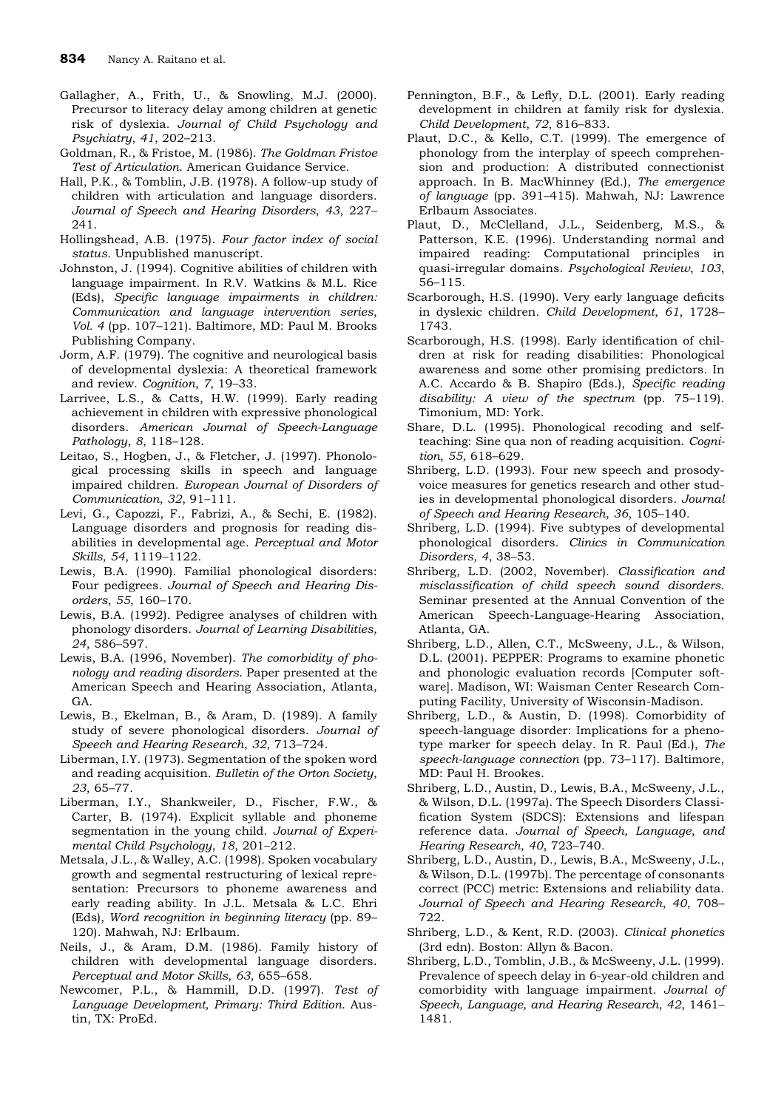- Gallagher, A., Frith, U., & Snowling, M.J. (2000). Precursor to literacy delay among children at genetic risk of dyslexia. Journal of Child Psychology and Psychiatry, 41, 202–213.
- Goldman, R., & Fristoe, M. (1986). The Goldman Fristoe Test of Articulation. American Guidance Service.
- Hall, P.K., & Tomblin, J.B. (1978). A follow-up study of children with articulation and language disorders. Journal of Speech and Hearing Disorders, 43, 227– 241.
- Hollingshead, A.B. (1975). Four factor index of social status. Unpublished manuscript.
- Johnston, J. (1994). Cognitive abilities of children with language impairment. In R.V. Watkins & M.L. Rice (Eds), Specific language impairments in children: Communication and language intervention series, Vol. 4 (pp. 107–121). Baltimore, MD: Paul M. Brooks Publishing Company.
- Jorm, A.F. (1979). The cognitive and neurological basis of developmental dyslexia: A theoretical framework and review. Cognition, 7, 19–33.
- Larrivee, L.S., & Catts, H.W. (1999). Early reading achievement in children with expressive phonological disorders. American Journal of Speech-Language Pathology, 8, 118–128.
- Leitao, S., Hogben, J., & Fletcher, J. (1997). Phonological processing skills in speech and language impaired children. European Journal of Disorders of Communication, 32, 91–111.
- Levi, G., Capozzi, F., Fabrizi, A., & Sechi, E. (1982). Language disorders and prognosis for reading disabilities in developmental age. Perceptual and Motor Skills, 54, 1119–1122.
- Lewis, B.A. (1990). Familial phonological disorders: Four pedigrees. Journal of Speech and Hearing Disorders, 55, 160–170.
- Lewis, B.A. (1992). Pedigree analyses of children with phonology disorders. Journal of Learning Disabilities, 24, 586–597.
- Lewis, B.A. (1996, November). The comorbidity of phonology and reading disorders. Paper presented at the American Speech and Hearing Association, Atlanta, GA.
- Lewis, B., Ekelman, B., & Aram, D. (1989). A family study of severe phonological disorders. Journal of Speech and Hearing Research, 32, 713–724.
- Liberman, I.Y. (1973). Segmentation of the spoken word and reading acquisition. Bulletin of the Orton Society, 23, 65–77.
- Liberman, I.Y., Shankweiler, D., Fischer, F.W., & Carter, B. (1974). Explicit syllable and phoneme segmentation in the young child. Journal of Experimental Child Psychology, 18, 201–212.
- Metsala, J.L., & Walley, A.C. (1998). Spoken vocabulary growth and segmental restructuring of lexical representation: Precursors to phoneme awareness and early reading ability. In J.L. Metsala & L.C. Ehri (Eds), Word recognition in beginning literacy (pp. 89– 120). Mahwah, NJ: Erlbaum.
- Neils, J., & Aram, D.M. (1986). Family history of children with developmental language disorders. Perceptual and Motor Skills, 63, 655–658.
- Newcomer, P.L., & Hammill, D.D. (1997). Test of Language Development, Primary: Third Edition. Austin, TX: ProEd.
- Pennington, B.F., & Lefly, D.L. (2001). Early reading development in children at family risk for dyslexia. Child Development, 72, 816–833.
- Plaut, D.C., & Kello, C.T. (1999). The emergence of phonology from the interplay of speech comprehension and production: A distributed connectionist approach. In B. MacWhinney (Ed.), The emergence of language (pp. 391–415). Mahwah, NJ: Lawrence Erlbaum Associates.
- Plaut, D., McClelland, J.L., Seidenberg, M.S., & Patterson, K.E. (1996). Understanding normal and impaired reading: Computational principles in quasi-irregular domains. Psychological Review, 103, 56–115.
- Scarborough, H.S. (1990). Very early language deficits in dyslexic children. Child Development, 61, 1728– 1743.
- Scarborough, H.S. (1998). Early identification of children at risk for reading disabilities: Phonological awareness and some other promising predictors. In A.C. Accardo & B. Shapiro (Eds.), Specific reading disability: A view of the spectrum (pp. 75–119). Timonium, MD: York.
- Share, D.L. (1995). Phonological recoding and selfteaching: Sine qua non of reading acquisition. Cognition, 55, 618–629.
- Shriberg, L.D. (1993). Four new speech and prosodyvoice measures for genetics research and other studies in developmental phonological disorders. Journal of Speech and Hearing Research, 36, 105–140.
- Shriberg, L.D. (1994). Five subtypes of developmental phonological disorders. Clinics in Communication Disorders, 4, 38–53.
- Shriberg, L.D. (2002, November). Classification and misclassification of child speech sound disorders. Seminar presented at the Annual Convention of the American Speech-Language-Hearing Association, Atlanta, GA.
- Shriberg, L.D., Allen, C.T., McSweeny, J.L., & Wilson, D.L. (2001). PEPPER: Programs to examine phonetic and phonologic evaluation records [Computer software]. Madison, WI: Waisman Center Research Computing Facility, University of Wisconsin-Madison.
- Shriberg, L.D., & Austin, D. (1998). Comorbidity of speech-language disorder: Implications for a phenotype marker for speech delay. In R. Paul (Ed.), The speech-language connection (pp. 73–117). Baltimore, MD: Paul H. Brookes.
- Shriberg, L.D., Austin, D., Lewis, B.A., McSweeny, J.L., & Wilson, D.L. (1997a). The Speech Disorders Classification System (SDCS): Extensions and lifespan reference data. Journal of Speech, Language, and Hearing Research, 40, 723–740.
- Shriberg, L.D., Austin, D., Lewis, B.A., McSweeny, J.L., & Wilson, D.L. (1997b). The percentage of consonants correct (PCC) metric: Extensions and reliability data. Journal of Speech and Hearing Research, 40, 708– 722.
- Shriberg, L.D., & Kent, R.D. (2003). Clinical phonetics (3rd edn). Boston: Allyn & Bacon.
- Shriberg, L.D., Tomblin, J.B., & McSweeny, J.L. (1999). Prevalence of speech delay in 6-year-old children and comorbidity with language impairment. Journal of Speech, Language, and Hearing Research, 42, 1461– 1481.